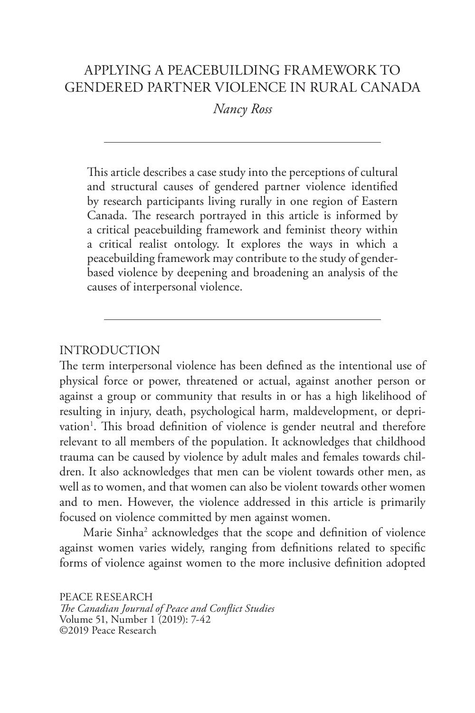# APPLYING A PEACEBUILDING FRAMEWORK TO GENDERED PARTNER VIOLENCE IN RURAL CANADA

*Nancy Ross*

This article describes a case study into the perceptions of cultural and structural causes of gendered partner violence identified by research participants living rurally in one region of Eastern Canada. The research portrayed in this article is informed by a critical peacebuilding framework and feminist theory within a critical realist ontology. It explores the ways in which a peacebuilding framework may contribute to the study of genderbased violence by deepening and broadening an analysis of the causes of interpersonal violence.

## INTRODUCTION

The term interpersonal violence has been defined as the intentional use of physical force or power, threatened or actual, against another person or against a group or community that results in or has a high likelihood of resulting in injury, death, psychological harm, maldevelopment, or deprivation<sup>1</sup>. This broad definition of violence is gender neutral and therefore relevant to all members of the population. It acknowledges that childhood trauma can be caused by violence by adult males and females towards children. It also acknowledges that men can be violent towards other men, as well as to women, and that women can also be violent towards other women and to men. However, the violence addressed in this article is primarily focused on violence committed by men against women.

Marie Sinha2 acknowledges that the scope and definition of violence against women varies widely, ranging from definitions related to specific forms of violence against women to the more inclusive definition adopted

PEACE RESEARCH *The Canadian Journal of Peace and Conflict Studies* Volume 51, Number 1 (2019): 7-42 ©2019 Peace Research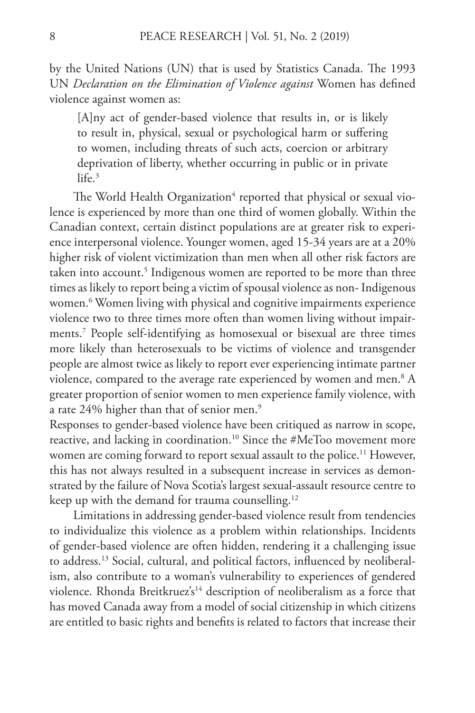by the United Nations (UN) that is used by Statistics Canada. The 1993 UN *Declaration on the Elimination of Violence against* Women has defined violence against women as:

[A]ny act of gender-based violence that results in, or is likely to result in, physical, sexual or psychological harm or suffering to women, including threats of such acts, coercion or arbitrary deprivation of liberty, whether occurring in public or in private  $l$ ife.<sup>3</sup>

The World Health Organization $^4$  reported that physical or sexual violence is experienced by more than one third of women globally. Within the Canadian context, certain distinct populations are at greater risk to experience interpersonal violence. Younger women, aged 15-34 years are at a 20% higher risk of violent victimization than men when all other risk factors are taken into account.<sup>5</sup> Indigenous women are reported to be more than three times as likely to report being a victim of spousal violence as non- Indigenous women.6 Women living with physical and cognitive impairments experience violence two to three times more often than women living without impairments.7 People self-identifying as homosexual or bisexual are three times more likely than heterosexuals to be victims of violence and transgender people are almost twice as likely to report ever experiencing intimate partner violence, compared to the average rate experienced by women and men. $8\ \mathrm{A}$ greater proportion of senior women to men experience family violence, with a rate 24% higher than that of senior men.<sup>9</sup>

Responses to gender-based violence have been critiqued as narrow in scope, reactive, and lacking in coordination.<sup>10</sup> Since the #MeToo movement more women are coming forward to report sexual assault to the police.<sup>11</sup> However, this has not always resulted in a subsequent increase in services as demonstrated by the failure of Nova Scotia's largest sexual-assault resource centre to keep up with the demand for trauma counselling.<sup>12</sup>

Limitations in addressing gender-based violence result from tendencies to individualize this violence as a problem within relationships. Incidents of gender-based violence are often hidden, rendering it a challenging issue to address.13 Social, cultural, and political factors, influenced by neoliberalism, also contribute to a woman's vulnerability to experiences of gendered violence. Rhonda Breitkruez's<sup>14</sup> description of neoliberalism as a force that has moved Canada away from a model of social citizenship in which citizens are entitled to basic rights and benefits is related to factors that increase their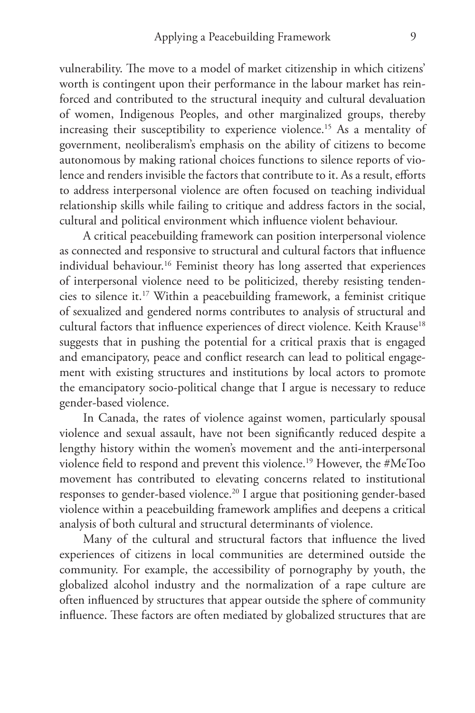vulnerability. The move to a model of market citizenship in which citizens' worth is contingent upon their performance in the labour market has reinforced and contributed to the structural inequity and cultural devaluation of women, Indigenous Peoples, and other marginalized groups, thereby increasing their susceptibility to experience violence.<sup>15</sup> As a mentality of government, neoliberalism's emphasis on the ability of citizens to become autonomous by making rational choices functions to silence reports of violence and renders invisible the factors that contribute to it. As a result, efforts to address interpersonal violence are often focused on teaching individual relationship skills while failing to critique and address factors in the social, cultural and political environment which influence violent behaviour.

A critical peacebuilding framework can position interpersonal violence as connected and responsive to structural and cultural factors that influence individual behaviour.<sup>16</sup> Feminist theory has long asserted that experiences of interpersonal violence need to be politicized, thereby resisting tendencies to silence it.17 Within a peacebuilding framework, a feminist critique of sexualized and gendered norms contributes to analysis of structural and cultural factors that influence experiences of direct violence. Keith Krause<sup>18</sup> suggests that in pushing the potential for a critical praxis that is engaged and emancipatory, peace and conflict research can lead to political engagement with existing structures and institutions by local actors to promote the emancipatory socio-political change that I argue is necessary to reduce gender-based violence.

In Canada, the rates of violence against women, particularly spousal violence and sexual assault, have not been significantly reduced despite a lengthy history within the women's movement and the anti-interpersonal violence field to respond and prevent this violence.19 However, the #MeToo movement has contributed to elevating concerns related to institutional responses to gender-based violence.<sup>20</sup> I argue that positioning gender-based violence within a peacebuilding framework amplifies and deepens a critical analysis of both cultural and structural determinants of violence.

Many of the cultural and structural factors that influence the lived experiences of citizens in local communities are determined outside the community. For example, the accessibility of pornography by youth, the globalized alcohol industry and the normalization of a rape culture are often influenced by structures that appear outside the sphere of community influence. These factors are often mediated by globalized structures that are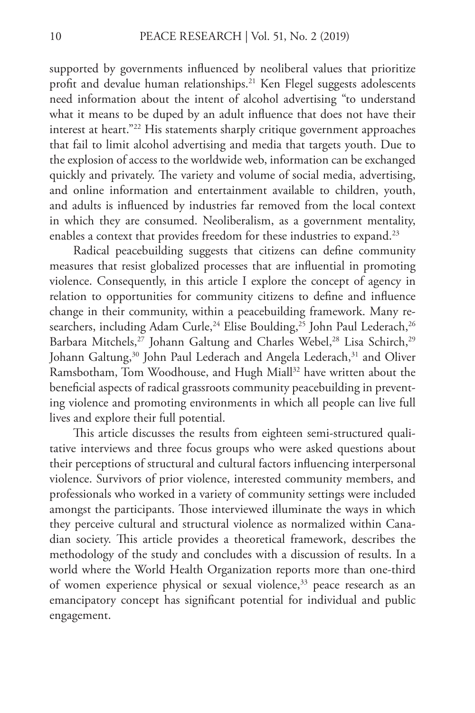supported by governments influenced by neoliberal values that prioritize profit and devalue human relationships.<sup>21</sup> Ken Flegel suggests adolescents need information about the intent of alcohol advertising "to understand what it means to be duped by an adult influence that does not have their interest at heart."22 His statements sharply critique government approaches that fail to limit alcohol advertising and media that targets youth. Due to the explosion of access to the worldwide web, information can be exchanged quickly and privately. The variety and volume of social media, advertising, and online information and entertainment available to children, youth, and adults is influenced by industries far removed from the local context in which they are consumed. Neoliberalism, as a government mentality, enables a context that provides freedom for these industries to expand.<sup>23</sup>

Radical peacebuilding suggests that citizens can define community measures that resist globalized processes that are influential in promoting violence. Consequently, in this article I explore the concept of agency in relation to opportunities for community citizens to define and influence change in their community, within a peacebuilding framework. Many researchers, including Adam Curle,<sup>24</sup> Elise Boulding,<sup>25</sup> John Paul Lederach,<sup>26</sup> Barbara Mitchels,<sup>27</sup> Johann Galtung and Charles Webel,<sup>28</sup> Lisa Schirch,<sup>29</sup> Johann Galtung,<sup>30</sup> John Paul Lederach and Angela Lederach,<sup>31</sup> and Oliver Ramsbotham, Tom Woodhouse, and Hugh Miall<sup>32</sup> have written about the beneficial aspects of radical grassroots community peacebuilding in preventing violence and promoting environments in which all people can live full lives and explore their full potential.

This article discusses the results from eighteen semi-structured qualitative interviews and three focus groups who were asked questions about their perceptions of structural and cultural factors influencing interpersonal violence. Survivors of prior violence, interested community members, and professionals who worked in a variety of community settings were included amongst the participants. Those interviewed illuminate the ways in which they perceive cultural and structural violence as normalized within Canadian society. This article provides a theoretical framework, describes the methodology of the study and concludes with a discussion of results. In a world where the World Health Organization reports more than one-third of women experience physical or sexual violence,<sup>33</sup> peace research as an emancipatory concept has significant potential for individual and public engagement.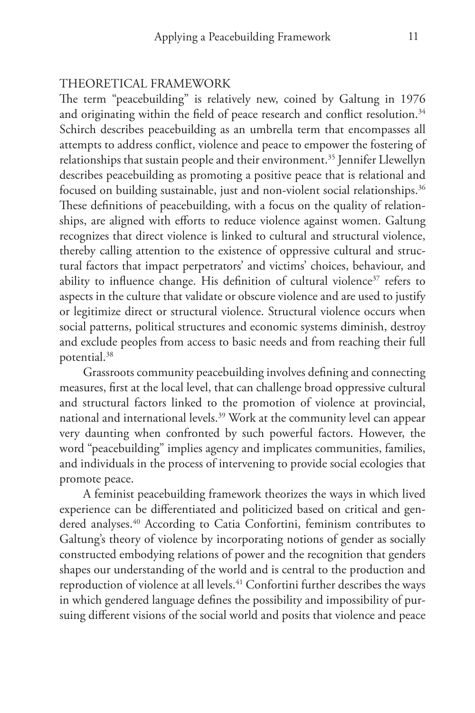## THEORETICAL FRAMEWORK

The term "peacebuilding" is relatively new, coined by Galtung in 1976 and originating within the field of peace research and conflict resolution.<sup>34</sup> Schirch describes peacebuilding as an umbrella term that encompasses all attempts to address conflict, violence and peace to empower the fostering of relationships that sustain people and their environment.<sup>35</sup> Jennifer Llewellyn describes peacebuilding as promoting a positive peace that is relational and focused on building sustainable, just and non-violent social relationships.<sup>36</sup> These definitions of peacebuilding, with a focus on the quality of relationships, are aligned with efforts to reduce violence against women. Galtung recognizes that direct violence is linked to cultural and structural violence, thereby calling attention to the existence of oppressive cultural and structural factors that impact perpetrators' and victims' choices, behaviour, and ability to influence change. His definition of cultural violence<sup>37</sup> refers to aspects in the culture that validate or obscure violence and are used to justify or legitimize direct or structural violence. Structural violence occurs when social patterns, political structures and economic systems diminish, destroy and exclude peoples from access to basic needs and from reaching their full potential.38

Grassroots community peacebuilding involves defining and connecting measures, first at the local level, that can challenge broad oppressive cultural and structural factors linked to the promotion of violence at provincial, national and international levels.<sup>39</sup> Work at the community level can appear very daunting when confronted by such powerful factors. However, the word "peacebuilding" implies agency and implicates communities, families, and individuals in the process of intervening to provide social ecologies that promote peace.

A feminist peacebuilding framework theorizes the ways in which lived experience can be differentiated and politicized based on critical and gendered analyses.<sup>40</sup> According to Catia Confortini, feminism contributes to Galtung's theory of violence by incorporating notions of gender as socially constructed embodying relations of power and the recognition that genders shapes our understanding of the world and is central to the production and reproduction of violence at all levels.<sup>41</sup> Confortini further describes the ways in which gendered language defines the possibility and impossibility of pursuing different visions of the social world and posits that violence and peace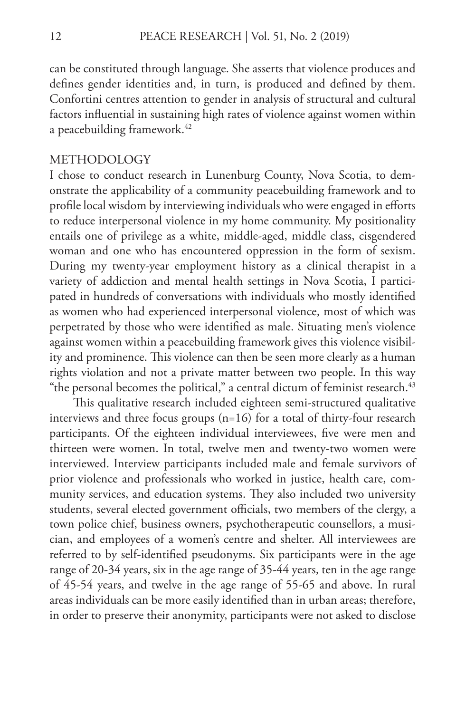can be constituted through language. She asserts that violence produces and defines gender identities and, in turn, is produced and defined by them. Confortini centres attention to gender in analysis of structural and cultural factors influential in sustaining high rates of violence against women within a peacebuilding framework.<sup>42</sup>

#### METHODOLOGY

I chose to conduct research in Lunenburg County, Nova Scotia, to demonstrate the applicability of a community peacebuilding framework and to profile local wisdom by interviewing individuals who were engaged in efforts to reduce interpersonal violence in my home community. My positionality entails one of privilege as a white, middle-aged, middle class, cisgendered woman and one who has encountered oppression in the form of sexism. During my twenty-year employment history as a clinical therapist in a variety of addiction and mental health settings in Nova Scotia, I participated in hundreds of conversations with individuals who mostly identified as women who had experienced interpersonal violence, most of which was perpetrated by those who were identified as male. Situating men's violence against women within a peacebuilding framework gives this violence visibility and prominence. This violence can then be seen more clearly as a human rights violation and not a private matter between two people. In this way "the personal becomes the political," a central dictum of feminist research.<sup>43</sup>

This qualitative research included eighteen semi-structured qualitative interviews and three focus groups (n=16) for a total of thirty-four research participants. Of the eighteen individual interviewees, five were men and thirteen were women. In total, twelve men and twenty-two women were interviewed. Interview participants included male and female survivors of prior violence and professionals who worked in justice, health care, community services, and education systems. They also included two university students, several elected government officials, two members of the clergy, a town police chief, business owners, psychotherapeutic counsellors, a musician, and employees of a women's centre and shelter. All interviewees are referred to by self-identified pseudonyms. Six participants were in the age range of 20-34 years, six in the age range of 35-44 years, ten in the age range of 45-54 years, and twelve in the age range of 55-65 and above. In rural areas individuals can be more easily identified than in urban areas; therefore, in order to preserve their anonymity, participants were not asked to disclose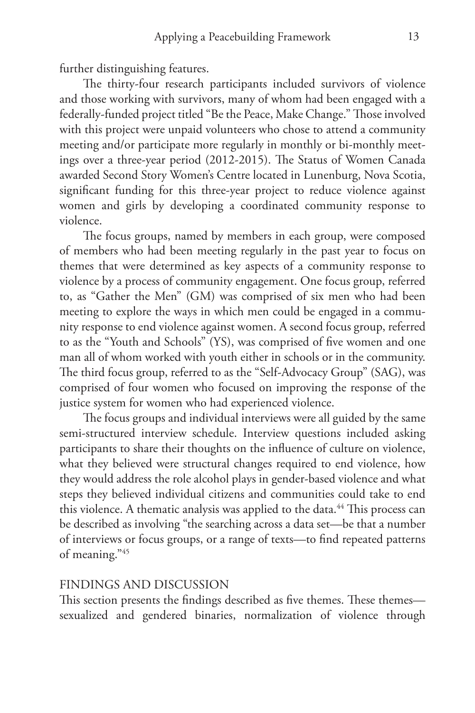further distinguishing features.

The thirty-four research participants included survivors of violence and those working with survivors, many of whom had been engaged with a federally-funded project titled "Be the Peace, Make Change." Those involved with this project were unpaid volunteers who chose to attend a community meeting and/or participate more regularly in monthly or bi-monthly meetings over a three-year period (2012-2015). The Status of Women Canada awarded Second Story Women's Centre located in Lunenburg, Nova Scotia, significant funding for this three-year project to reduce violence against women and girls by developing a coordinated community response to violence.

The focus groups, named by members in each group, were composed of members who had been meeting regularly in the past year to focus on themes that were determined as key aspects of a community response to violence by a process of community engagement. One focus group, referred to, as "Gather the Men" (GM) was comprised of six men who had been meeting to explore the ways in which men could be engaged in a community response to end violence against women. A second focus group, referred to as the "Youth and Schools" (YS), was comprised of five women and one man all of whom worked with youth either in schools or in the community. The third focus group, referred to as the "Self-Advocacy Group" (SAG), was comprised of four women who focused on improving the response of the justice system for women who had experienced violence.

The focus groups and individual interviews were all guided by the same semi-structured interview schedule. Interview questions included asking participants to share their thoughts on the influence of culture on violence, what they believed were structural changes required to end violence, how they would address the role alcohol plays in gender-based violence and what steps they believed individual citizens and communities could take to end this violence. A thematic analysis was applied to the data.<sup>44</sup> This process can be described as involving "the searching across a data set—be that a number of interviews or focus groups, or a range of texts—to find repeated patterns of meaning."45

## FINDINGS AND DISCUSSION

This section presents the findings described as five themes. These themes sexualized and gendered binaries, normalization of violence through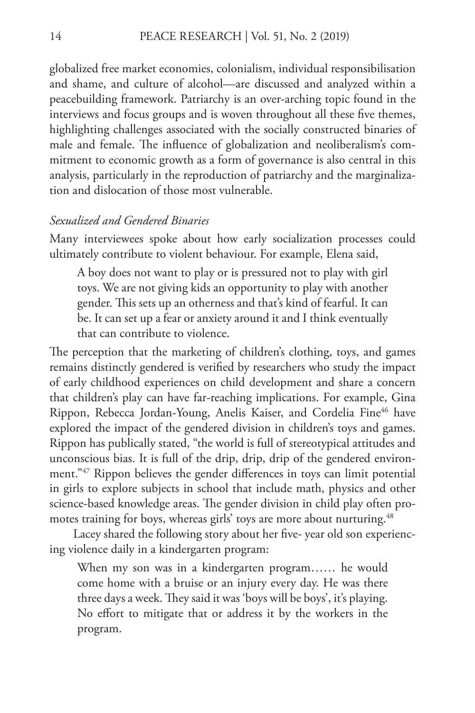globalized free market economies, colonialism, individual responsibilisation and shame, and culture of alcohol—are discussed and analyzed within a peacebuilding framework. Patriarchy is an over-arching topic found in the interviews and focus groups and is woven throughout all these five themes, highlighting challenges associated with the socially constructed binaries of male and female. The influence of globalization and neoliberalism's commitment to economic growth as a form of governance is also central in this analysis, particularly in the reproduction of patriarchy and the marginalization and dislocation of those most vulnerable.

#### *Sexualized and Gendered Binaries*

Many interviewees spoke about how early socialization processes could ultimately contribute to violent behaviour. For example, Elena said,

A boy does not want to play or is pressured not to play with girl toys. We are not giving kids an opportunity to play with another gender. This sets up an otherness and that's kind of fearful. It can be. It can set up a fear or anxiety around it and I think eventually that can contribute to violence.

The perception that the marketing of children's clothing, toys, and games remains distinctly gendered is verified by researchers who study the impact of early childhood experiences on child development and share a concern that children's play can have far-reaching implications. For example, Gina Rippon, Rebecca Jordan-Young, Anelis Kaiser, and Cordelia Fine<sup>46</sup> have explored the impact of the gendered division in children's toys and games. Rippon has publically stated, "the world is full of stereotypical attitudes and unconscious bias. It is full of the drip, drip, drip of the gendered environment."<sup>47</sup> Rippon believes the gender differences in toys can limit potential in girls to explore subjects in school that include math, physics and other science-based knowledge areas. The gender division in child play often promotes training for boys, whereas girls' toys are more about nurturing.<sup>48</sup>

Lacey shared the following story about her five- year old son experiencing violence daily in a kindergarten program:

When my son was in a kindergarten program…… he would come home with a bruise or an injury every day. He was there three days a week. They said it was 'boys will be boys', it's playing. No effort to mitigate that or address it by the workers in the program.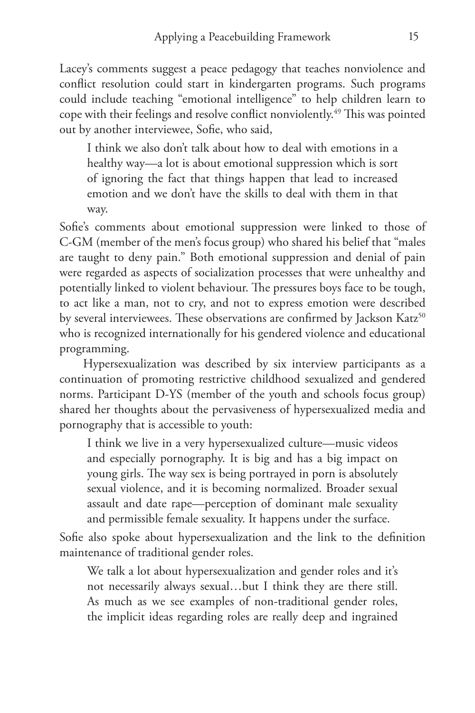Lacey's comments suggest a peace pedagogy that teaches nonviolence and conflict resolution could start in kindergarten programs. Such programs could include teaching "emotional intelligence" to help children learn to cope with their feelings and resolve conflict nonviolently.49 This was pointed out by another interviewee, Sofie, who said,

I think we also don't talk about how to deal with emotions in a healthy way—a lot is about emotional suppression which is sort of ignoring the fact that things happen that lead to increased emotion and we don't have the skills to deal with them in that way.

Sofie's comments about emotional suppression were linked to those of C-GM (member of the men's focus group) who shared his belief that "males are taught to deny pain." Both emotional suppression and denial of pain were regarded as aspects of socialization processes that were unhealthy and potentially linked to violent behaviour. The pressures boys face to be tough, to act like a man, not to cry, and not to express emotion were described by several interviewees. These observations are confirmed by Jackson Katz<sup>50</sup> who is recognized internationally for his gendered violence and educational programming.

Hypersexualization was described by six interview participants as a continuation of promoting restrictive childhood sexualized and gendered norms. Participant D-YS (member of the youth and schools focus group) shared her thoughts about the pervasiveness of hypersexualized media and pornography that is accessible to youth:

I think we live in a very hypersexualized culture—music videos and especially pornography. It is big and has a big impact on young girls. The way sex is being portrayed in porn is absolutely sexual violence, and it is becoming normalized. Broader sexual assault and date rape—perception of dominant male sexuality and permissible female sexuality. It happens under the surface.

Sofie also spoke about hypersexualization and the link to the definition maintenance of traditional gender roles.

We talk a lot about hypersexualization and gender roles and it's not necessarily always sexual…but I think they are there still. As much as we see examples of non-traditional gender roles, the implicit ideas regarding roles are really deep and ingrained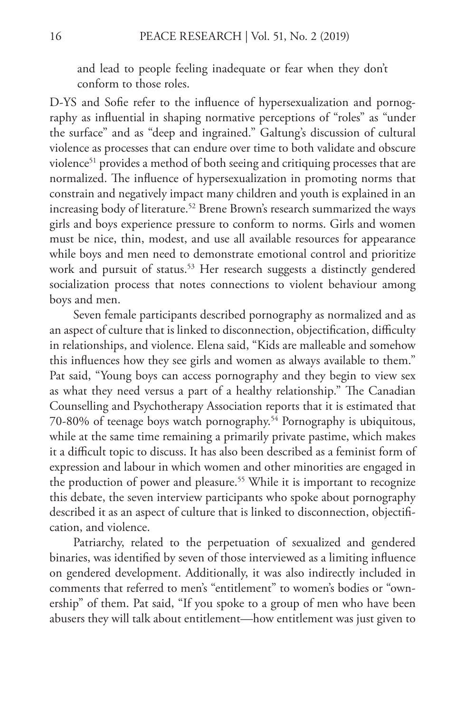and lead to people feeling inadequate or fear when they don't conform to those roles.

D-YS and Sofie refer to the influence of hypersexualization and pornography as influential in shaping normative perceptions of "roles" as "under the surface" and as "deep and ingrained." Galtung's discussion of cultural violence as processes that can endure over time to both validate and obscure violence<sup>51</sup> provides a method of both seeing and critiquing processes that are normalized. The influence of hypersexualization in promoting norms that constrain and negatively impact many children and youth is explained in an increasing body of literature.<sup>52</sup> Brene Brown's research summarized the ways girls and boys experience pressure to conform to norms. Girls and women must be nice, thin, modest, and use all available resources for appearance while boys and men need to demonstrate emotional control and prioritize work and pursuit of status.<sup>53</sup> Her research suggests a distinctly gendered socialization process that notes connections to violent behaviour among boys and men.

Seven female participants described pornography as normalized and as an aspect of culture that is linked to disconnection, objectification, difficulty in relationships, and violence. Elena said, "Kids are malleable and somehow this influences how they see girls and women as always available to them." Pat said, "Young boys can access pornography and they begin to view sex as what they need versus a part of a healthy relationship." The Canadian Counselling and Psychotherapy Association reports that it is estimated that 70-80% of teenage boys watch pornography.54 Pornography is ubiquitous, while at the same time remaining a primarily private pastime, which makes it a difficult topic to discuss. It has also been described as a feminist form of expression and labour in which women and other minorities are engaged in the production of power and pleasure.<sup>55</sup> While it is important to recognize this debate, the seven interview participants who spoke about pornography described it as an aspect of culture that is linked to disconnection, objectification, and violence.

Patriarchy, related to the perpetuation of sexualized and gendered binaries, was identified by seven of those interviewed as a limiting influence on gendered development. Additionally, it was also indirectly included in comments that referred to men's "entitlement" to women's bodies or "ownership" of them. Pat said, "If you spoke to a group of men who have been abusers they will talk about entitlement—how entitlement was just given to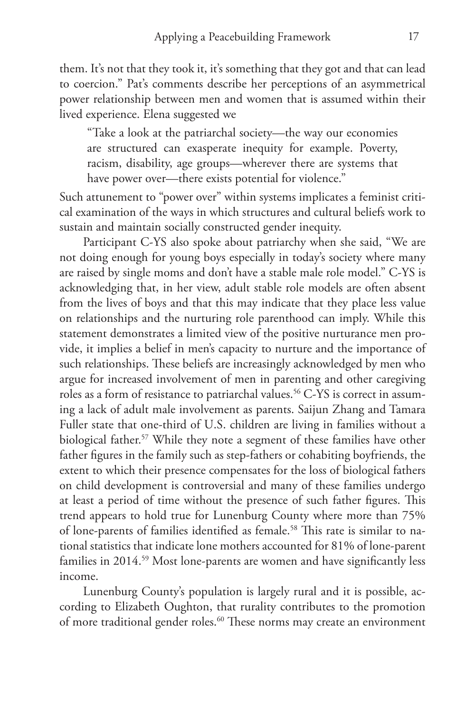them. It's not that they took it, it's something that they got and that can lead to coercion." Pat's comments describe her perceptions of an asymmetrical power relationship between men and women that is assumed within their lived experience. Elena suggested we

"Take a look at the patriarchal society—the way our economies are structured can exasperate inequity for example. Poverty, racism, disability, age groups—wherever there are systems that have power over—there exists potential for violence."

Such attunement to "power over" within systems implicates a feminist critical examination of the ways in which structures and cultural beliefs work to sustain and maintain socially constructed gender inequity.

Participant C-YS also spoke about patriarchy when she said, "We are not doing enough for young boys especially in today's society where many are raised by single moms and don't have a stable male role model." C-YS is acknowledging that, in her view, adult stable role models are often absent from the lives of boys and that this may indicate that they place less value on relationships and the nurturing role parenthood can imply. While this statement demonstrates a limited view of the positive nurturance men provide, it implies a belief in men's capacity to nurture and the importance of such relationships. These beliefs are increasingly acknowledged by men who argue for increased involvement of men in parenting and other caregiving roles as a form of resistance to patriarchal values.<sup>56</sup> C-YS is correct in assuming a lack of adult male involvement as parents. Saijun Zhang and Tamara Fuller state that one-third of U.S. children are living in families without a biological father.<sup>57</sup> While they note a segment of these families have other father figures in the family such as step-fathers or cohabiting boyfriends, the extent to which their presence compensates for the loss of biological fathers on child development is controversial and many of these families undergo at least a period of time without the presence of such father figures. This trend appears to hold true for Lunenburg County where more than 75% of lone-parents of families identified as female.<sup>58</sup> This rate is similar to national statistics that indicate lone mothers accounted for 81% of lone-parent families in 2014.<sup>59</sup> Most lone-parents are women and have significantly less income.

Lunenburg County's population is largely rural and it is possible, according to Elizabeth Oughton, that rurality contributes to the promotion of more traditional gender roles.<sup>60</sup> These norms may create an environment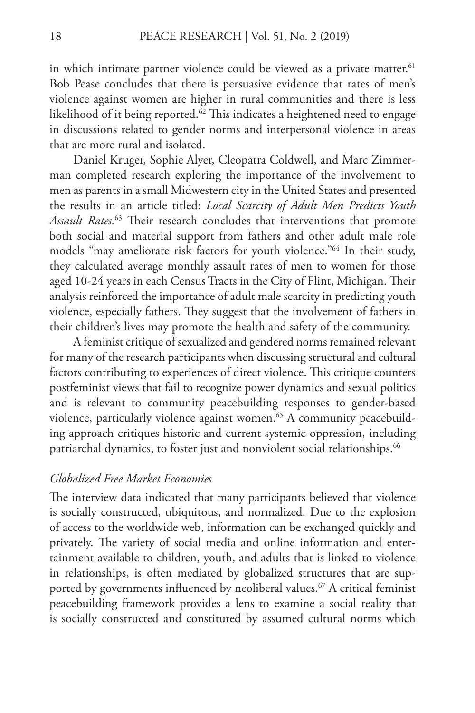in which intimate partner violence could be viewed as a private matter.<sup>61</sup> Bob Pease concludes that there is persuasive evidence that rates of men's violence against women are higher in rural communities and there is less likelihood of it being reported.<sup>62</sup> This indicates a heightened need to engage in discussions related to gender norms and interpersonal violence in areas that are more rural and isolated.

Daniel Kruger, Sophie Alyer, Cleopatra Coldwell, and Marc Zimmerman completed research exploring the importance of the involvement to men as parents in a small Midwestern city in the United States and presented the results in an article titled: *Local Scarcity of Adult Men Predicts Youth Assault Rates.*63 Their research concludes that interventions that promote both social and material support from fathers and other adult male role models "may ameliorate risk factors for youth violence."64 In their study, they calculated average monthly assault rates of men to women for those aged 10-24 years in each Census Tracts in the City of Flint, Michigan. Their analysis reinforced the importance of adult male scarcity in predicting youth violence, especially fathers. They suggest that the involvement of fathers in their children's lives may promote the health and safety of the community.

A feminist critique of sexualized and gendered norms remained relevant for many of the research participants when discussing structural and cultural factors contributing to experiences of direct violence. This critique counters postfeminist views that fail to recognize power dynamics and sexual politics and is relevant to community peacebuilding responses to gender-based violence, particularly violence against women.<sup>65</sup> A community peacebuilding approach critiques historic and current systemic oppression, including patriarchal dynamics, to foster just and nonviolent social relationships.<sup>66</sup>

#### *Globalized Free Market Economies*

The interview data indicated that many participants believed that violence is socially constructed, ubiquitous, and normalized. Due to the explosion of access to the worldwide web, information can be exchanged quickly and privately. The variety of social media and online information and entertainment available to children, youth, and adults that is linked to violence in relationships, is often mediated by globalized structures that are supported by governments influenced by neoliberal values.<sup>67</sup> A critical feminist peacebuilding framework provides a lens to examine a social reality that is socially constructed and constituted by assumed cultural norms which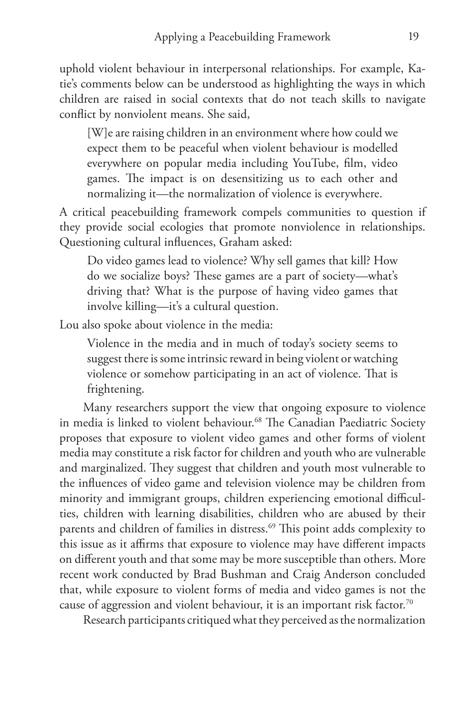uphold violent behaviour in interpersonal relationships. For example, Katie's comments below can be understood as highlighting the ways in which children are raised in social contexts that do not teach skills to navigate conflict by nonviolent means. She said,

[W]e are raising children in an environment where how could we expect them to be peaceful when violent behaviour is modelled everywhere on popular media including YouTube, film, video games. The impact is on desensitizing us to each other and normalizing it—the normalization of violence is everywhere.

A critical peacebuilding framework compels communities to question if they provide social ecologies that promote nonviolence in relationships. Questioning cultural influences, Graham asked:

Do video games lead to violence? Why sell games that kill? How do we socialize boys? These games are a part of society—what's driving that? What is the purpose of having video games that involve killing—it's a cultural question.

Lou also spoke about violence in the media:

Violence in the media and in much of today's society seems to suggest there is some intrinsic reward in being violent or watching violence or somehow participating in an act of violence. That is frightening.

Many researchers support the view that ongoing exposure to violence in media is linked to violent behaviour.<sup>68</sup> The Canadian Paediatric Society proposes that exposure to violent video games and other forms of violent media may constitute a risk factor for children and youth who are vulnerable and marginalized. They suggest that children and youth most vulnerable to the influences of video game and television violence may be children from minority and immigrant groups, children experiencing emotional difficulties, children with learning disabilities, children who are abused by their parents and children of families in distress.<sup>69</sup> This point adds complexity to this issue as it affirms that exposure to violence may have different impacts on different youth and that some may be more susceptible than others. More recent work conducted by Brad Bushman and Craig Anderson concluded that, while exposure to violent forms of media and video games is not the cause of aggression and violent behaviour, it is an important risk factor.<sup>70</sup>

Research participants critiqued what they perceived as the normalization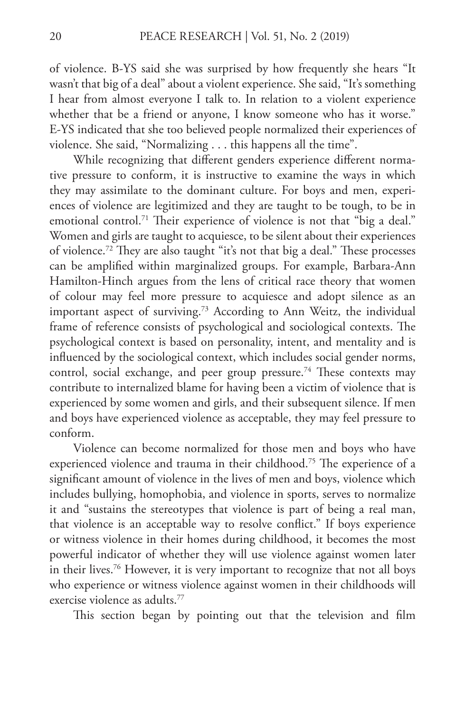of violence. B-YS said she was surprised by how frequently she hears "It wasn't that big of a deal" about a violent experience. She said, "It's something I hear from almost everyone I talk to. In relation to a violent experience whether that be a friend or anyone, I know someone who has it worse." E-YS indicated that she too believed people normalized their experiences of violence. She said, "Normalizing . . . this happens all the time".

While recognizing that different genders experience different normative pressure to conform, it is instructive to examine the ways in which they may assimilate to the dominant culture. For boys and men, experiences of violence are legitimized and they are taught to be tough, to be in emotional control.<sup>71</sup> Their experience of violence is not that "big a deal." Women and girls are taught to acquiesce, to be silent about their experiences of violence.72 They are also taught "it's not that big a deal." These processes can be amplified within marginalized groups. For example, Barbara-Ann Hamilton-Hinch argues from the lens of critical race theory that women of colour may feel more pressure to acquiesce and adopt silence as an important aspect of surviving.<sup>73</sup> According to Ann Weitz, the individual frame of reference consists of psychological and sociological contexts. The psychological context is based on personality, intent, and mentality and is influenced by the sociological context, which includes social gender norms, control, social exchange, and peer group pressure.<sup>74</sup> These contexts may contribute to internalized blame for having been a victim of violence that is experienced by some women and girls, and their subsequent silence. If men and boys have experienced violence as acceptable, they may feel pressure to conform.

Violence can become normalized for those men and boys who have experienced violence and trauma in their childhood.75 The experience of a significant amount of violence in the lives of men and boys, violence which includes bullying, homophobia, and violence in sports, serves to normalize it and "sustains the stereotypes that violence is part of being a real man, that violence is an acceptable way to resolve conflict." If boys experience or witness violence in their homes during childhood, it becomes the most powerful indicator of whether they will use violence against women later in their lives.76 However, it is very important to recognize that not all boys who experience or witness violence against women in their childhoods will exercise violence as adults.77

This section began by pointing out that the television and film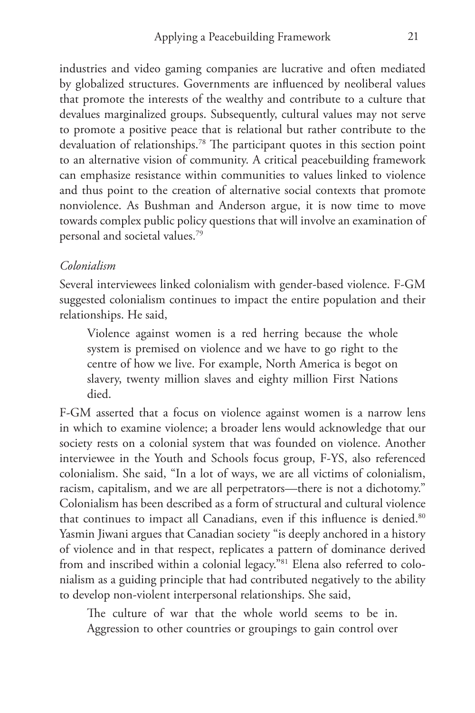industries and video gaming companies are lucrative and often mediated by globalized structures. Governments are influenced by neoliberal values that promote the interests of the wealthy and contribute to a culture that devalues marginalized groups. Subsequently, cultural values may not serve to promote a positive peace that is relational but rather contribute to the devaluation of relationships.78 The participant quotes in this section point to an alternative vision of community. A critical peacebuilding framework can emphasize resistance within communities to values linked to violence and thus point to the creation of alternative social contexts that promote nonviolence. As Bushman and Anderson argue, it is now time to move towards complex public policy questions that will involve an examination of personal and societal values.79

## *Colonialism*

Several interviewees linked colonialism with gender-based violence. F-GM suggested colonialism continues to impact the entire population and their relationships. He said,

Violence against women is a red herring because the whole system is premised on violence and we have to go right to the centre of how we live. For example, North America is begot on slavery, twenty million slaves and eighty million First Nations died.

F-GM asserted that a focus on violence against women is a narrow lens in which to examine violence; a broader lens would acknowledge that our society rests on a colonial system that was founded on violence. Another interviewee in the Youth and Schools focus group, F-YS, also referenced colonialism. She said, "In a lot of ways, we are all victims of colonialism, racism, capitalism, and we are all perpetrators—there is not a dichotomy." Colonialism has been described as a form of structural and cultural violence that continues to impact all Canadians, even if this influence is denied.<sup>80</sup> Yasmin Jiwani argues that Canadian society "is deeply anchored in a history of violence and in that respect, replicates a pattern of dominance derived from and inscribed within a colonial legacy."81 Elena also referred to colonialism as a guiding principle that had contributed negatively to the ability to develop non-violent interpersonal relationships. She said,

The culture of war that the whole world seems to be in. Aggression to other countries or groupings to gain control over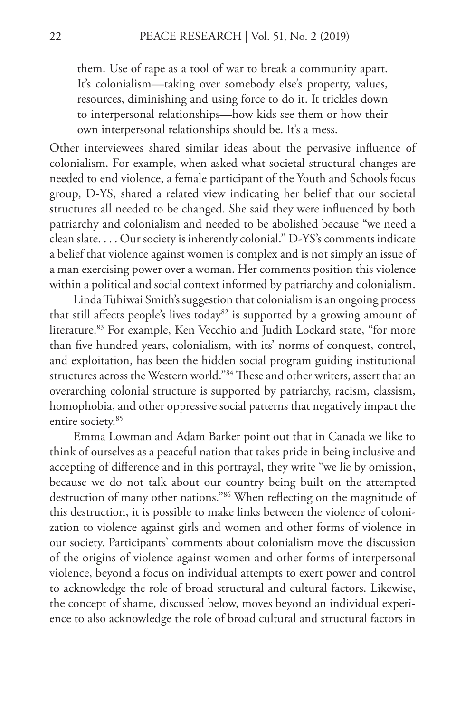them. Use of rape as a tool of war to break a community apart. It's colonialism—taking over somebody else's property, values, resources, diminishing and using force to do it. It trickles down to interpersonal relationships—how kids see them or how their own interpersonal relationships should be. It's a mess.

Other interviewees shared similar ideas about the pervasive influence of colonialism. For example, when asked what societal structural changes are needed to end violence, a female participant of the Youth and Schools focus group, D-YS, shared a related view indicating her belief that our societal structures all needed to be changed. She said they were influenced by both patriarchy and colonialism and needed to be abolished because "we need a clean slate. . . . Our society is inherently colonial." D-YS's comments indicate a belief that violence against women is complex and is not simply an issue of a man exercising power over a woman. Her comments position this violence within a political and social context informed by patriarchy and colonialism.

Linda Tuhiwai Smith's suggestion that colonialism is an ongoing process that still affects people's lives today<sup>82</sup> is supported by a growing amount of literature.<sup>83</sup> For example, Ken Vecchio and Judith Lockard state, "for more than five hundred years, colonialism, with its' norms of conquest, control, and exploitation, has been the hidden social program guiding institutional structures across the Western world."84 These and other writers, assert that an overarching colonial structure is supported by patriarchy, racism, classism, homophobia, and other oppressive social patterns that negatively impact the entire society.<sup>85</sup>

Emma Lowman and Adam Barker point out that in Canada we like to think of ourselves as a peaceful nation that takes pride in being inclusive and accepting of difference and in this portrayal, they write "we lie by omission, because we do not talk about our country being built on the attempted destruction of many other nations."86 When reflecting on the magnitude of this destruction, it is possible to make links between the violence of colonization to violence against girls and women and other forms of violence in our society. Participants' comments about colonialism move the discussion of the origins of violence against women and other forms of interpersonal violence, beyond a focus on individual attempts to exert power and control to acknowledge the role of broad structural and cultural factors. Likewise, the concept of shame, discussed below, moves beyond an individual experience to also acknowledge the role of broad cultural and structural factors in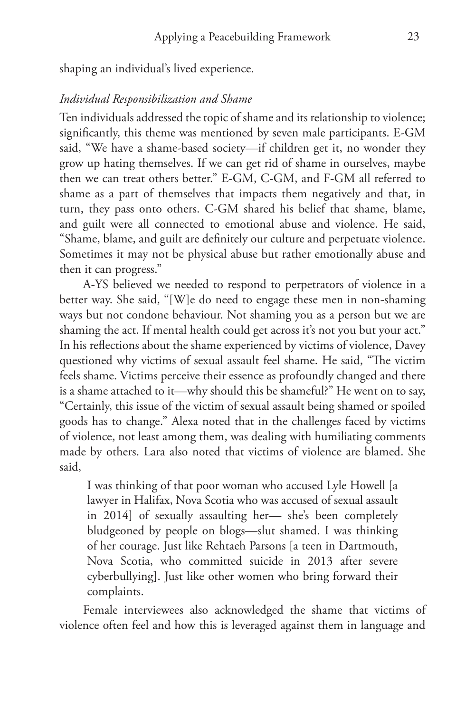shaping an individual's lived experience.

#### *Individual Responsibilization and Shame*

Ten individuals addressed the topic of shame and its relationship to violence; significantly, this theme was mentioned by seven male participants. E-GM said, "We have a shame-based society—if children get it, no wonder they grow up hating themselves. If we can get rid of shame in ourselves, maybe then we can treat others better." E-GM, C-GM, and F-GM all referred to shame as a part of themselves that impacts them negatively and that, in turn, they pass onto others. C-GM shared his belief that shame, blame, and guilt were all connected to emotional abuse and violence. He said, "Shame, blame, and guilt are definitely our culture and perpetuate violence. Sometimes it may not be physical abuse but rather emotionally abuse and then it can progress."

A-YS believed we needed to respond to perpetrators of violence in a better way. She said, "[W]e do need to engage these men in non-shaming ways but not condone behaviour. Not shaming you as a person but we are shaming the act. If mental health could get across it's not you but your act." In his reflections about the shame experienced by victims of violence, Davey questioned why victims of sexual assault feel shame. He said, "The victim feels shame. Victims perceive their essence as profoundly changed and there is a shame attached to it—why should this be shameful?" He went on to say, "Certainly, this issue of the victim of sexual assault being shamed or spoiled goods has to change." Alexa noted that in the challenges faced by victims of violence, not least among them, was dealing with humiliating comments made by others. Lara also noted that victims of violence are blamed. She said,

I was thinking of that poor woman who accused Lyle Howell [a lawyer in Halifax, Nova Scotia who was accused of sexual assault in 2014] of sexually assaulting her— she's been completely bludgeoned by people on blogs—slut shamed. I was thinking of her courage. Just like Rehtaeh Parsons [a teen in Dartmouth, Nova Scotia, who committed suicide in 2013 after severe cyberbullying]. Just like other women who bring forward their complaints.

Female interviewees also acknowledged the shame that victims of violence often feel and how this is leveraged against them in language and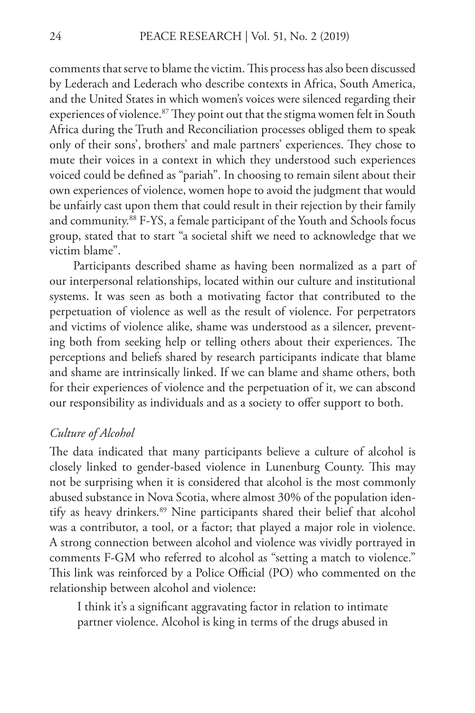comments that serve to blame the victim. This process has also been discussed by Lederach and Lederach who describe contexts in Africa, South America, and the United States in which women's voices were silenced regarding their experiences of violence.<sup>87</sup> They point out that the stigma women felt in South Africa during the Truth and Reconciliation processes obliged them to speak only of their sons', brothers' and male partners' experiences. They chose to mute their voices in a context in which they understood such experiences voiced could be defined as "pariah". In choosing to remain silent about their own experiences of violence, women hope to avoid the judgment that would be unfairly cast upon them that could result in their rejection by their family and community.88 F-YS, a female participant of the Youth and Schools focus group, stated that to start "a societal shift we need to acknowledge that we victim blame".

Participants described shame as having been normalized as a part of our interpersonal relationships, located within our culture and institutional systems. It was seen as both a motivating factor that contributed to the perpetuation of violence as well as the result of violence. For perpetrators and victims of violence alike, shame was understood as a silencer, preventing both from seeking help or telling others about their experiences. The perceptions and beliefs shared by research participants indicate that blame and shame are intrinsically linked. If we can blame and shame others, both for their experiences of violence and the perpetuation of it, we can abscond our responsibility as individuals and as a society to offer support to both.

#### *Culture of Alcohol*

The data indicated that many participants believe a culture of alcohol is closely linked to gender-based violence in Lunenburg County. This may not be surprising when it is considered that alcohol is the most commonly abused substance in Nova Scotia, where almost 30% of the population identify as heavy drinkers.<sup>89</sup> Nine participants shared their belief that alcohol was a contributor, a tool, or a factor; that played a major role in violence. A strong connection between alcohol and violence was vividly portrayed in comments F-GM who referred to alcohol as "setting a match to violence." This link was reinforced by a Police Official (PO) who commented on the relationship between alcohol and violence:

I think it's a significant aggravating factor in relation to intimate partner violence. Alcohol is king in terms of the drugs abused in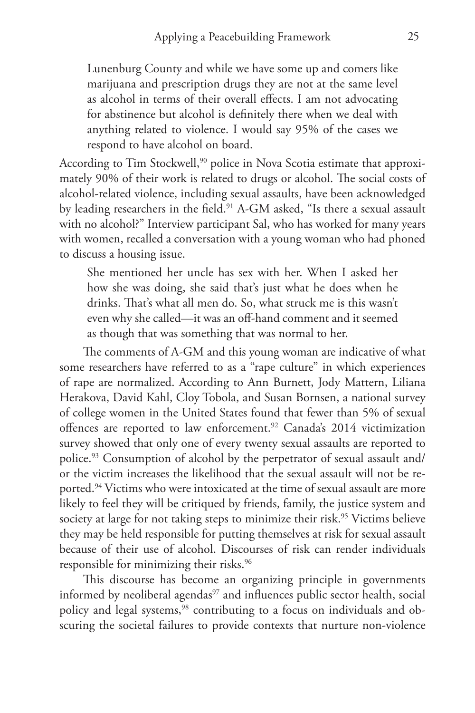Lunenburg County and while we have some up and comers like marijuana and prescription drugs they are not at the same level as alcohol in terms of their overall effects. I am not advocating for abstinence but alcohol is definitely there when we deal with anything related to violence. I would say 95% of the cases we respond to have alcohol on board.

According to Tim Stockwell,<sup>90</sup> police in Nova Scotia estimate that approximately 90% of their work is related to drugs or alcohol. The social costs of alcohol-related violence, including sexual assaults, have been acknowledged by leading researchers in the field.<sup>91</sup> A-GM asked, "Is there a sexual assault with no alcohol?" Interview participant Sal, who has worked for many years with women, recalled a conversation with a young woman who had phoned to discuss a housing issue.

She mentioned her uncle has sex with her. When I asked her how she was doing, she said that's just what he does when he drinks. That's what all men do. So, what struck me is this wasn't even why she called—it was an off-hand comment and it seemed as though that was something that was normal to her.

The comments of A-GM and this young woman are indicative of what some researchers have referred to as a "rape culture" in which experiences of rape are normalized. According to Ann Burnett, Jody Mattern, Liliana Herakova, David Kahl, Cloy Tobola, and Susan Bornsen, a national survey of college women in the United States found that fewer than 5% of sexual offences are reported to law enforcement.<sup>92</sup> Canada's 2014 victimization survey showed that only one of every twenty sexual assaults are reported to police.93 Consumption of alcohol by the perpetrator of sexual assault and/ or the victim increases the likelihood that the sexual assault will not be reported.<sup>94</sup> Victims who were intoxicated at the time of sexual assault are more likely to feel they will be critiqued by friends, family, the justice system and society at large for not taking steps to minimize their risk.<sup>95</sup> Victims believe they may be held responsible for putting themselves at risk for sexual assault because of their use of alcohol. Discourses of risk can render individuals responsible for minimizing their risks.<sup>96</sup>

This discourse has become an organizing principle in governments informed by neoliberal agendas<sup>97</sup> and influences public sector health, social policy and legal systems,<sup>98</sup> contributing to a focus on individuals and obscuring the societal failures to provide contexts that nurture non-violence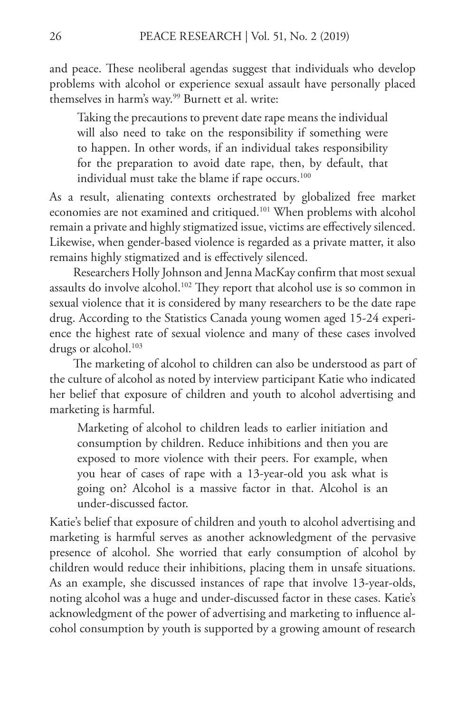and peace. These neoliberal agendas suggest that individuals who develop problems with alcohol or experience sexual assault have personally placed themselves in harm's way.<sup>99</sup> Burnett et al. write:

Taking the precautions to prevent date rape means the individual will also need to take on the responsibility if something were to happen. In other words, if an individual takes responsibility for the preparation to avoid date rape, then, by default, that individual must take the blame if rape occurs.<sup>100</sup>

As a result, alienating contexts orchestrated by globalized free market economies are not examined and critiqued.<sup>101</sup> When problems with alcohol remain a private and highly stigmatized issue, victims are effectively silenced. Likewise, when gender-based violence is regarded as a private matter, it also remains highly stigmatized and is effectively silenced.

Researchers Holly Johnson and Jenna MacKay confirm that most sexual assaults do involve alcohol.<sup>102</sup> They report that alcohol use is so common in sexual violence that it is considered by many researchers to be the date rape drug. According to the Statistics Canada young women aged 15-24 experience the highest rate of sexual violence and many of these cases involved drugs or alcohol.<sup>103</sup>

The marketing of alcohol to children can also be understood as part of the culture of alcohol as noted by interview participant Katie who indicated her belief that exposure of children and youth to alcohol advertising and marketing is harmful.

Marketing of alcohol to children leads to earlier initiation and consumption by children. Reduce inhibitions and then you are exposed to more violence with their peers. For example, when you hear of cases of rape with a 13-year-old you ask what is going on? Alcohol is a massive factor in that. Alcohol is an under-discussed factor.

Katie's belief that exposure of children and youth to alcohol advertising and marketing is harmful serves as another acknowledgment of the pervasive presence of alcohol. She worried that early consumption of alcohol by children would reduce their inhibitions, placing them in unsafe situations. As an example, she discussed instances of rape that involve 13-year-olds, noting alcohol was a huge and under-discussed factor in these cases. Katie's acknowledgment of the power of advertising and marketing to influence alcohol consumption by youth is supported by a growing amount of research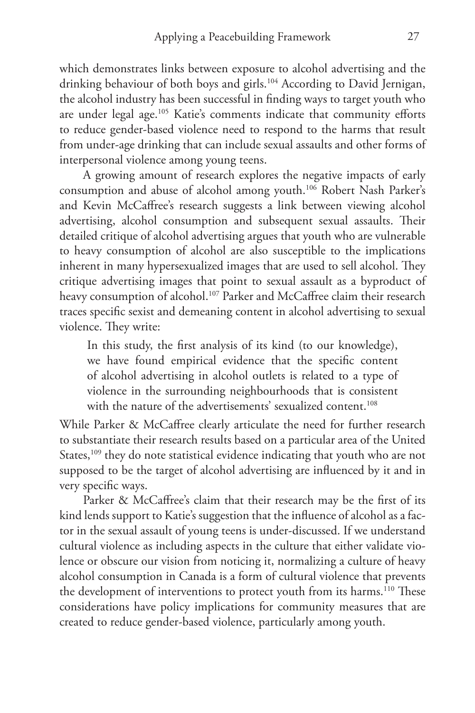which demonstrates links between exposure to alcohol advertising and the drinking behaviour of both boys and girls.<sup>104</sup> According to David Jernigan, the alcohol industry has been successful in finding ways to target youth who are under legal age.<sup>105</sup> Katie's comments indicate that community efforts to reduce gender-based violence need to respond to the harms that result from under-age drinking that can include sexual assaults and other forms of interpersonal violence among young teens.

A growing amount of research explores the negative impacts of early consumption and abuse of alcohol among youth.106 Robert Nash Parker's and Kevin McCaffree's research suggests a link between viewing alcohol advertising, alcohol consumption and subsequent sexual assaults. Their detailed critique of alcohol advertising argues that youth who are vulnerable to heavy consumption of alcohol are also susceptible to the implications inherent in many hypersexualized images that are used to sell alcohol. They critique advertising images that point to sexual assault as a byproduct of heavy consumption of alcohol.<sup>107</sup> Parker and McCaffree claim their research traces specific sexist and demeaning content in alcohol advertising to sexual violence. They write:

In this study, the first analysis of its kind (to our knowledge), we have found empirical evidence that the specific content of alcohol advertising in alcohol outlets is related to a type of violence in the surrounding neighbourhoods that is consistent with the nature of the advertisements' sexualized content.<sup>108</sup>

While Parker & McCaffree clearly articulate the need for further research to substantiate their research results based on a particular area of the United States,<sup>109</sup> they do note statistical evidence indicating that youth who are not supposed to be the target of alcohol advertising are influenced by it and in very specific ways.

Parker & McCaffree's claim that their research may be the first of its kind lends support to Katie's suggestion that the influence of alcohol as a factor in the sexual assault of young teens is under-discussed. If we understand cultural violence as including aspects in the culture that either validate violence or obscure our vision from noticing it, normalizing a culture of heavy alcohol consumption in Canada is a form of cultural violence that prevents the development of interventions to protect youth from its harms.<sup>110</sup> These considerations have policy implications for community measures that are created to reduce gender-based violence, particularly among youth.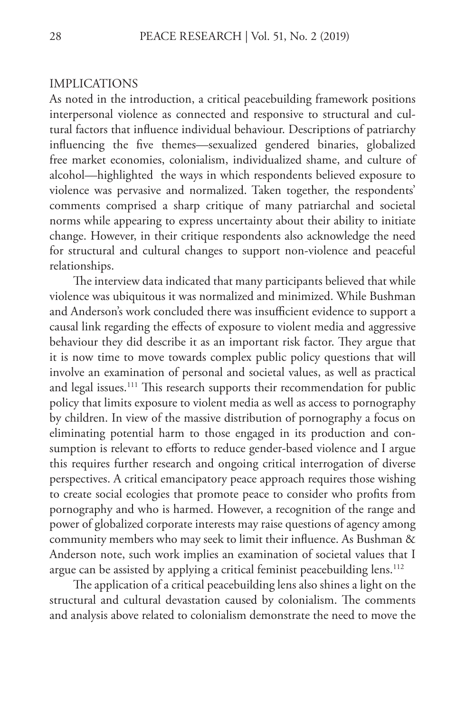#### IMPLICATIONS

As noted in the introduction, a critical peacebuilding framework positions interpersonal violence as connected and responsive to structural and cultural factors that influence individual behaviour. Descriptions of patriarchy influencing the five themes—sexualized gendered binaries, globalized free market economies, colonialism, individualized shame, and culture of alcohol—highlighted the ways in which respondents believed exposure to violence was pervasive and normalized. Taken together, the respondents' comments comprised a sharp critique of many patriarchal and societal norms while appearing to express uncertainty about their ability to initiate change. However, in their critique respondents also acknowledge the need for structural and cultural changes to support non-violence and peaceful relationships.

The interview data indicated that many participants believed that while violence was ubiquitous it was normalized and minimized. While Bushman and Anderson's work concluded there was insufficient evidence to support a causal link regarding the effects of exposure to violent media and aggressive behaviour they did describe it as an important risk factor. They argue that it is now time to move towards complex public policy questions that will involve an examination of personal and societal values, as well as practical and legal issues.<sup>111</sup> This research supports their recommendation for public policy that limits exposure to violent media as well as access to pornography by children. In view of the massive distribution of pornography a focus on eliminating potential harm to those engaged in its production and consumption is relevant to efforts to reduce gender-based violence and I argue this requires further research and ongoing critical interrogation of diverse perspectives. A critical emancipatory peace approach requires those wishing to create social ecologies that promote peace to consider who profits from pornography and who is harmed. However, a recognition of the range and power of globalized corporate interests may raise questions of agency among community members who may seek to limit their influence. As Bushman & Anderson note, such work implies an examination of societal values that I argue can be assisted by applying a critical feminist peacebuilding lens.<sup>112</sup>

The application of a critical peacebuilding lens also shines a light on the structural and cultural devastation caused by colonialism. The comments and analysis above related to colonialism demonstrate the need to move the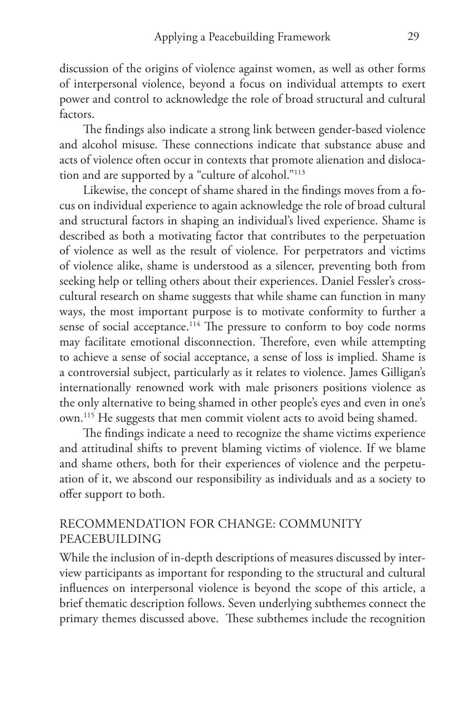discussion of the origins of violence against women, as well as other forms of interpersonal violence, beyond a focus on individual attempts to exert power and control to acknowledge the role of broad structural and cultural factors.

The findings also indicate a strong link between gender-based violence and alcohol misuse. These connections indicate that substance abuse and acts of violence often occur in contexts that promote alienation and dislocation and are supported by a "culture of alcohol."113

Likewise, the concept of shame shared in the findings moves from a focus on individual experience to again acknowledge the role of broad cultural and structural factors in shaping an individual's lived experience. Shame is described as both a motivating factor that contributes to the perpetuation of violence as well as the result of violence. For perpetrators and victims of violence alike, shame is understood as a silencer, preventing both from seeking help or telling others about their experiences. Daniel Fessler's crosscultural research on shame suggests that while shame can function in many ways, the most important purpose is to motivate conformity to further a sense of social acceptance.<sup>114</sup> The pressure to conform to boy code norms may facilitate emotional disconnection. Therefore, even while attempting to achieve a sense of social acceptance, a sense of loss is implied. Shame is a controversial subject, particularly as it relates to violence. James Gilligan's internationally renowned work with male prisoners positions violence as the only alternative to being shamed in other people's eyes and even in one's own.115 He suggests that men commit violent acts to avoid being shamed.

The findings indicate a need to recognize the shame victims experience and attitudinal shifts to prevent blaming victims of violence. If we blame and shame others, both for their experiences of violence and the perpetuation of it, we abscond our responsibility as individuals and as a society to offer support to both.

## RECOMMENDATION FOR CHANGE: COMMUNITY PEACEBUILDING

While the inclusion of in-depth descriptions of measures discussed by interview participants as important for responding to the structural and cultural influences on interpersonal violence is beyond the scope of this article, a brief thematic description follows. Seven underlying subthemes connect the primary themes discussed above. These subthemes include the recognition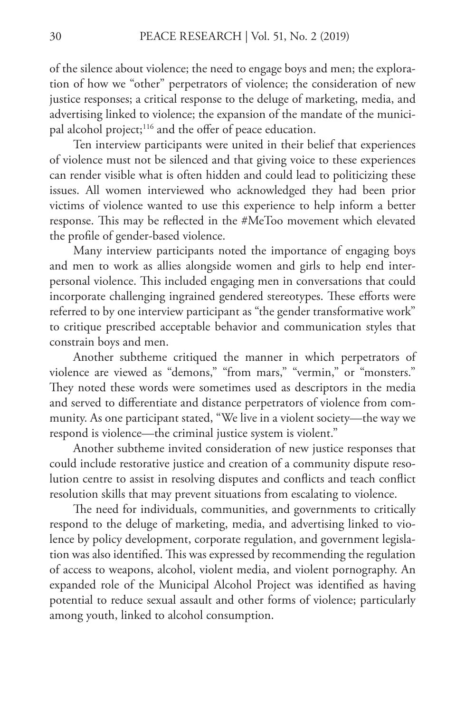of the silence about violence; the need to engage boys and men; the exploration of how we "other" perpetrators of violence; the consideration of new justice responses; a critical response to the deluge of marketing, media, and advertising linked to violence; the expansion of the mandate of the municipal alcohol project;<sup>116</sup> and the offer of peace education.

Ten interview participants were united in their belief that experiences of violence must not be silenced and that giving voice to these experiences can render visible what is often hidden and could lead to politicizing these issues. All women interviewed who acknowledged they had been prior victims of violence wanted to use this experience to help inform a better response. This may be reflected in the #MeToo movement which elevated the profile of gender-based violence.

Many interview participants noted the importance of engaging boys and men to work as allies alongside women and girls to help end interpersonal violence. This included engaging men in conversations that could incorporate challenging ingrained gendered stereotypes. These efforts were referred to by one interview participant as "the gender transformative work" to critique prescribed acceptable behavior and communication styles that constrain boys and men.

Another subtheme critiqued the manner in which perpetrators of violence are viewed as "demons," "from mars," "vermin," or "monsters." They noted these words were sometimes used as descriptors in the media and served to differentiate and distance perpetrators of violence from community. As one participant stated, "We live in a violent society—the way we respond is violence—the criminal justice system is violent."

Another subtheme invited consideration of new justice responses that could include restorative justice and creation of a community dispute resolution centre to assist in resolving disputes and conflicts and teach conflict resolution skills that may prevent situations from escalating to violence.

The need for individuals, communities, and governments to critically respond to the deluge of marketing, media, and advertising linked to violence by policy development, corporate regulation, and government legislation was also identified. This was expressed by recommending the regulation of access to weapons, alcohol, violent media, and violent pornography. An expanded role of the Municipal Alcohol Project was identified as having potential to reduce sexual assault and other forms of violence; particularly among youth, linked to alcohol consumption.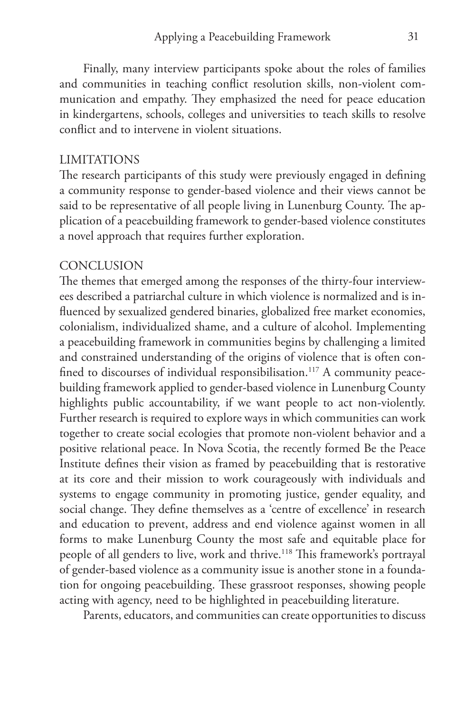Finally, many interview participants spoke about the roles of families and communities in teaching conflict resolution skills, non-violent communication and empathy. They emphasized the need for peace education in kindergartens, schools, colleges and universities to teach skills to resolve conflict and to intervene in violent situations.

### LIMITATIONS

The research participants of this study were previously engaged in defining a community response to gender-based violence and their views cannot be said to be representative of all people living in Lunenburg County. The application of a peacebuilding framework to gender-based violence constitutes a novel approach that requires further exploration.

#### **CONCLUSION**

The themes that emerged among the responses of the thirty-four interviewees described a patriarchal culture in which violence is normalized and is influenced by sexualized gendered binaries, globalized free market economies, colonialism, individualized shame, and a culture of alcohol. Implementing a peacebuilding framework in communities begins by challenging a limited and constrained understanding of the origins of violence that is often confined to discourses of individual responsibilisation.<sup>117</sup> A community peacebuilding framework applied to gender-based violence in Lunenburg County highlights public accountability, if we want people to act non-violently. Further research is required to explore ways in which communities can work together to create social ecologies that promote non-violent behavior and a positive relational peace. In Nova Scotia, the recently formed Be the Peace Institute defines their vision as framed by peacebuilding that is restorative at its core and their mission to work courageously with individuals and systems to engage community in promoting justice, gender equality, and social change. They define themselves as a 'centre of excellence' in research and education to prevent, address and end violence against women in all forms to make Lunenburg County the most safe and equitable place for people of all genders to live, work and thrive.<sup>118</sup> This framework's portrayal of gender-based violence as a community issue is another stone in a foundation for ongoing peacebuilding. These grassroot responses, showing people acting with agency, need to be highlighted in peacebuilding literature.

Parents, educators, and communities can create opportunities to discuss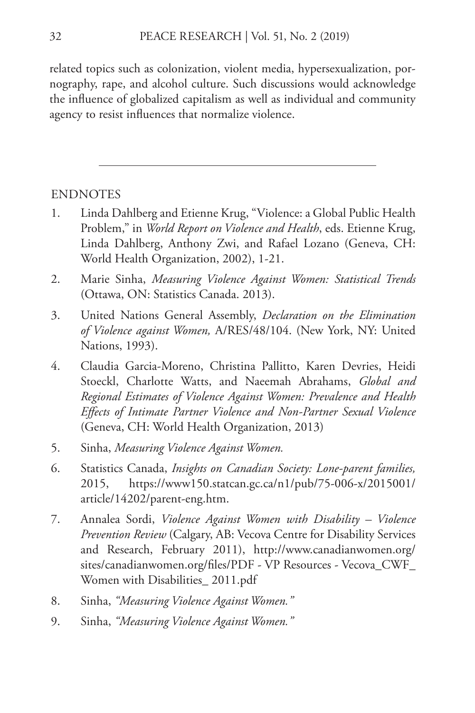related topics such as colonization, violent media, hypersexualization, pornography, rape, and alcohol culture. Such discussions would acknowledge the influence of globalized capitalism as well as individual and community agency to resist influences that normalize violence.

### ENDNOTES

- 1. Linda Dahlberg and Etienne Krug, "Violence: a Global Public Health Problem," in *World Report on Violence and Health*, eds. Etienne Krug, Linda Dahlberg, Anthony Zwi, and Rafael Lozano (Geneva, CH: World Health Organization, 2002), 1-21.
- 2. Marie Sinha, *Measuring Violence Against Women: Statistical Trends*  (Ottawa, ON: Statistics Canada. 2013).
- 3. United Nations General Assembly, *Declaration on the Elimination of Violence against Women,* A/RES/48/104. (New York, NY: United Nations, 1993).
- 4. Claudia Garcia-Moreno, Christina Pallitto, Karen Devries, Heidi Stoeckl, Charlotte Watts, and Naeemah Abrahams, *Global and Regional Estimates of Violence Against Women: Prevalence and Health Effects of Intimate Partner Violence and Non-Partner Sexual Violence* (Geneva, CH: World Health Organization, 2013)
- 5. Sinha, *Measuring Violence Against Women.*
- 6. Statistics Canada, *Insights on Canadian Society: Lone-parent families,*  2015, https://www150.statcan.gc.ca/n1/pub/75-006-x/2015001/ article/14202/parent-eng.htm.
- 7. Annalea Sordi, *Violence Against Women with Disability Violence Prevention Review* (Calgary, AB: Vecova Centre for Disability Services and Research, February 2011), http://www.canadianwomen.org/ sites/canadianwomen.org/files/PDF - VP Resources - Vecova\_CWF\_ Women with Disabilities\_ 2011.pdf
- 8. Sinha, *"Measuring Violence Against Women."*
- 9. Sinha, *"Measuring Violence Against Women."*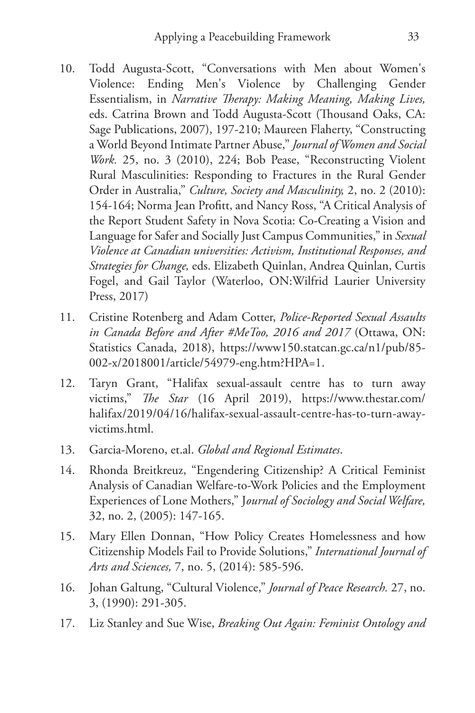- 10. Todd Augusta-Scott, "Conversations with Men about Women's Violence: Ending Men's Violence by Challenging Gender Essentialism, in *Narrative Therapy: Making Meaning, Making Lives,* eds. Catrina Brown and Todd Augusta-Scott (Thousand Oaks, CA: Sage Publications, 2007), 197-210; Maureen Flaherty, "Constructing a World Beyond Intimate Partner Abuse," *Journal of Women and Social Work.* 25, no. 3 (2010), 224; Bob Pease, "Reconstructing Violent Rural Masculinities: Responding to Fractures in the Rural Gender Order in Australia," *Culture, Society and Masculinity,* 2, no. 2 (2010): 154-164; Norma Jean Profitt, and Nancy Ross, "A Critical Analysis of the Report Student Safety in Nova Scotia: Co-Creating a Vision and Language for Safer and Socially Just Campus Communities," in *Sexual Violence at Canadian universities: Activism, Institutional Responses, and Strategies for Change,* eds. Elizabeth Quinlan, Andrea Quinlan, Curtis Fogel, and Gail Taylor (Waterloo, ON:Wilfrid Laurier University Press, 2017)
- 11. Cristine Rotenberg and Adam Cotter, *Police-Reported Sexual Assaults in Canada Before and After #MeToo, 2016 and 2017* (Ottawa, ON: Statistics Canada, 2018), https://www150.statcan.gc.ca/n1/pub/85- 002-x/2018001/article/54979-eng.htm?HPA=1.
- 12. Taryn Grant, "Halifax sexual-assault centre has to turn away victims," *The Star* (16 April 2019), https://www.thestar.com/ halifax/2019/04/16/halifax-sexual-assault-centre-has-to-turn-awayvictims.html.
- 13. Garcia-Moreno, et.al. *Global and Regional Estimates*.
- 14. Rhonda Breitkreuz, "Engendering Citizenship? A Critical Feminist Analysis of Canadian Welfare-to-Work Policies and the Employment Experiences of Lone Mothers," J*ournal of Sociology and Social Welfare,*  32, no. 2, (2005): 147-165.
- 15. Mary Ellen Donnan, "How Policy Creates Homelessness and how Citizenship Models Fail to Provide Solutions," *International Journal of Arts and Sciences,* 7, no. 5, (2014): 585-596.
- 16. Johan Galtung, "Cultural Violence," *Journal of Peace Research.* 27, no. 3, (1990): 291-305.
- 17. Liz Stanley and Sue Wise, *Breaking Out Again: Feminist Ontology and*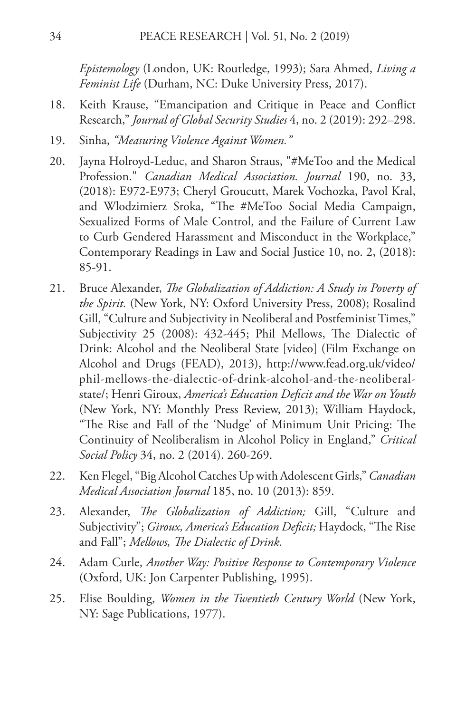*Epistemology* (London, UK: Routledge, 1993); Sara Ahmed, *Living a Feminist Life* (Durham, NC: Duke University Press, 2017).

- 18. Keith Krause, "Emancipation and Critique in Peace and Conflict Research," *Journal of Global Security Studies* 4, no. 2 (2019): 292–298.
- 19. Sinha, *"Measuring Violence Against Women."*
- 20. Jayna Holroyd-Leduc, and Sharon Straus, "#MeToo and the Medical Profession." *Canadian Medical Association. Journal* 190, no. 33, (2018): E972-E973; Cheryl Groucutt, Marek Vochozka, Pavol Kral, and Wlodzimierz Sroka, "The #MeToo Social Media Campaign, Sexualized Forms of Male Control, and the Failure of Current Law to Curb Gendered Harassment and Misconduct in the Workplace," Contemporary Readings in Law and Social Justice 10, no. 2, (2018): 85-91.
- 21. Bruce Alexander, *The Globalization of Addiction: A Study in Poverty of the Spirit.* (New York, NY: Oxford University Press, 2008); Rosalind Gill, "Culture and Subjectivity in Neoliberal and Postfeminist Times," Subjectivity 25 (2008): 432-445; Phil Mellows, The Dialectic of Drink: Alcohol and the Neoliberal State [video] (Film Exchange on Alcohol and Drugs (FEAD), 2013), http://www.fead.org.uk/video/ phil-mellows-the-dialectic-of-drink-alcohol-and-the-neoliberalstate/; Henri Giroux, *America's Education Deficit and the War on Youth*  (New York, NY: Monthly Press Review, 2013); William Haydock, "The Rise and Fall of the 'Nudge' of Minimum Unit Pricing: The Continuity of Neoliberalism in Alcohol Policy in England," *Critical Social Policy* 34, no. 2 (2014). 260-269.
- 22. Ken Flegel, "Big Alcohol Catches Up with Adolescent Girls," *Canadian Medical Association Journal* 185, no. 10 (2013): 859.
- 23. Alexander, *The Globalization of Addiction;* Gill, "Culture and Subjectivity"; *Giroux, America's Education Deficit;* Haydock, "The Rise and Fall"; *Mellows, The Dialectic of Drink.*
- 24. Adam Curle, *Another Way: Positive Response to Contemporary Violence*  (Oxford, UK: Jon Carpenter Publishing, 1995).
- 25. Elise Boulding, *Women in the Twentieth Century World* (New York, NY: Sage Publications, 1977).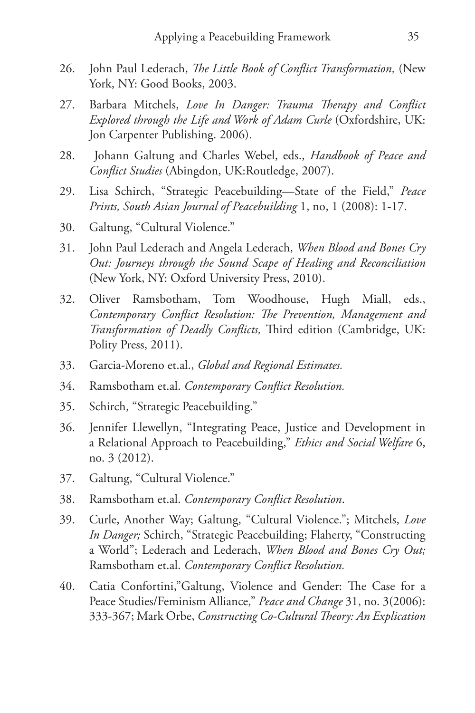- 26. John Paul Lederach, *The Little Book of Conflict Transformation,* (New York, NY: Good Books, 2003.
- 27. Barbara Mitchels, *Love In Danger: Trauma Therapy and Conflict Explored through the Life and Work of Adam Curle* (Oxfordshire, UK: Jon Carpenter Publishing. 2006).
- 28. Johann Galtung and Charles Webel, eds., *Handbook of Peace and Conflict Studies* (Abingdon, UK:Routledge, 2007).
- 29. Lisa Schirch, "Strategic Peacebuilding—State of the Field," *Peace Prints, South Asian Journal of Peacebuilding* 1, no, 1 (2008): 1-17.
- 30. Galtung, "Cultural Violence."
- 31. John Paul Lederach and Angela Lederach, *When Blood and Bones Cry Out: Journeys through the Sound Scape of Healing and Reconciliation*  (New York, NY: Oxford University Press, 2010).
- 32. Oliver Ramsbotham, Tom Woodhouse, Hugh Miall, eds., *Contemporary Conflict Resolution: The Prevention, Management and Transformation of Deadly Conflicts,* Third edition (Cambridge, UK: Polity Press, 2011).
- 33. Garcia-Moreno et.al., *Global and Regional Estimates.*
- 34. Ramsbotham et.al. *Contemporary Conflict Resolution.*
- 35. Schirch, "Strategic Peacebuilding."
- 36. Jennifer Llewellyn, "Integrating Peace, Justice and Development in a Relational Approach to Peacebuilding," *Ethics and Social Welfare* 6, no. 3 (2012).
- 37. Galtung, "Cultural Violence."
- 38. Ramsbotham et.al. *Contemporary Conflict Resolution*.
- 39. Curle, Another Way; Galtung, "Cultural Violence."; Mitchels, *Love In Danger;* Schirch, "Strategic Peacebuilding; Flaherty, "Constructing a World"; Lederach and Lederach, *When Blood and Bones Cry Out;*  Ramsbotham et.al. *Contemporary Conflict Resolution.*
- 40. Catia Confortini,"Galtung, Violence and Gender: The Case for a Peace Studies/Feminism Alliance," *Peace and Change* 31, no. 3(2006): 333-367; Mark Orbe, *Constructing Co-Cultural Theory: An Explication*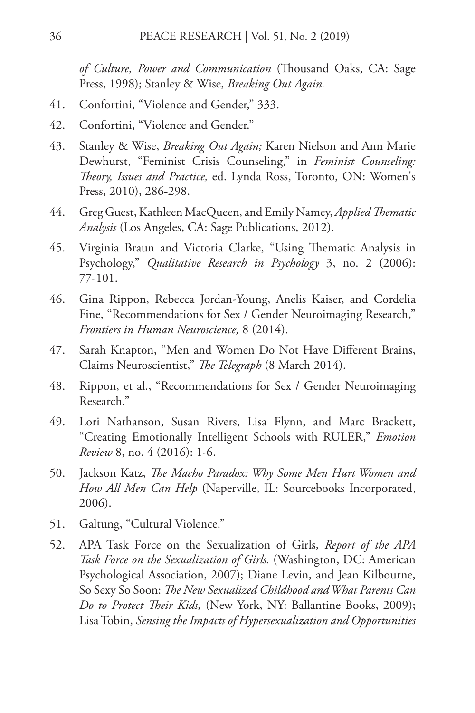*of Culture, Power and Communication* (Thousand Oaks, CA: Sage Press, 1998); Stanley & Wise, *Breaking Out Again.*

- 41. Confortini, "Violence and Gender," 333.
- 42. Confortini, "Violence and Gender."
- 43. Stanley & Wise, *Breaking Out Again;* Karen Nielson and Ann Marie Dewhurst, "Feminist Crisis Counseling," in *Feminist Counseling: Theory, Issues and Practice,* ed. Lynda Ross, Toronto, ON: Women's Press, 2010), 286-298.
- 44. Greg Guest, Kathleen MacQueen, and Emily Namey, *Applied Thematic Analysis* (Los Angeles, CA: Sage Publications, 2012).
- 45. Virginia Braun and Victoria Clarke, "Using Thematic Analysis in Psychology," *Qualitative Research in Psychology* 3, no. 2 (2006): 77-101.
- 46. Gina Rippon, Rebecca Jordan-Young, Anelis Kaiser, and Cordelia Fine, "Recommendations for Sex / Gender Neuroimaging Research," *Frontiers in Human Neuroscience,* 8 (2014).
- 47. Sarah Knapton, "Men and Women Do Not Have Different Brains, Claims Neuroscientist," *The Telegraph* (8 March 2014).
- 48. Rippon, et al., "Recommendations for Sex / Gender Neuroimaging Research."
- 49. Lori Nathanson, Susan Rivers, Lisa Flynn, and Marc Brackett, "Creating Emotionally Intelligent Schools with RULER," *Emotion Review* 8, no. 4 (2016): 1-6.
- 50. Jackson Katz, *The Macho Paradox: Why Some Men Hurt Women and How All Men Can Help* (Naperville, IL: Sourcebooks Incorporated, 2006).
- 51. Galtung, "Cultural Violence."
- 52. APA Task Force on the Sexualization of Girls, *Report of the APA Task Force on the Sexualization of Girls.* (Washington, DC: American Psychological Association, 2007); Diane Levin, and Jean Kilbourne, So Sexy So Soon: *The New Sexualized Childhood and What Parents Can Do to Protect Their Kids,* (New York, NY: Ballantine Books, 2009); Lisa Tobin, *Sensing the Impacts of Hypersexualization and Opportunities*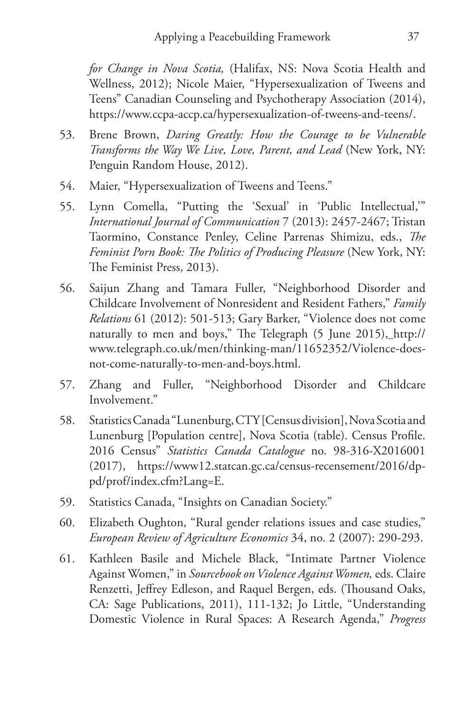*for Change in Nova Scotia,* (Halifax, NS: Nova Scotia Health and Wellness, 2012); Nicole Maier, "Hypersexualization of Tweens and Teens" Canadian Counseling and Psychotherapy Association (2014), https://www.ccpa-accp.ca/hypersexualization-of-tweens-and-teens/.

- 53. Brene Brown, *Daring Greatly: How the Courage to be Vulnerable Transforms the Way We Live, Love, Parent, and Lead* (New York, NY: Penguin Random House, 2012).
- 54. Maier, "Hypersexualization of Tweens and Teens."
- 55. Lynn Comella, "Putting the 'Sexual' in 'Public Intellectual,'" *International Journal of Communication* 7 (2013): 2457-2467; Tristan Taormino, Constance Penley, Celine Parrenas Shimizu, eds., *The Feminist Porn Book: The Politics of Producing Pleasure* (New York, NY: The Feminist Press, 2013).
- 56. Saijun Zhang and Tamara Fuller, "Neighborhood Disorder and Childcare Involvement of Nonresident and Resident Fathers," *Family Relations* 61 (2012): 501-513; Gary Barker, "Violence does not come naturally to men and boys," The Telegraph (5 June 2015), http:// www.telegraph.co.uk/men/thinking-man/11652352/Violence-doesnot-come-naturally-to-men-and-boys.html.
- 57. Zhang and Fuller, "Neighborhood Disorder and Childcare Involvement."
- 58. Statistics Canada "Lunenburg, CTY [Census division], Nova Scotia and Lunenburg [Population centre], Nova Scotia (table). Census Profile. 2016 Census" *Statistics Canada Catalogue* no. 98-316-X2016001 (2017), https://www12.statcan.gc.ca/census-recensement/2016/dppd/prof/index.cfm?Lang=E.
- 59. Statistics Canada, "Insights on Canadian Society."
- 60. Elizabeth Oughton, "Rural gender relations issues and case studies," *European Review of Agriculture Economics* 34, no. 2 (2007): 290-293.
- 61. Kathleen Basile and Michele Black, "Intimate Partner Violence Against Women," in *Sourcebook on Violence Against Women,* eds. Claire Renzetti, Jeffrey Edleson, and Raquel Bergen, eds. (Thousand Oaks, CA: Sage Publications, 2011), 111-132; Jo Little, "Understanding Domestic Violence in Rural Spaces: A Research Agenda," *Progress*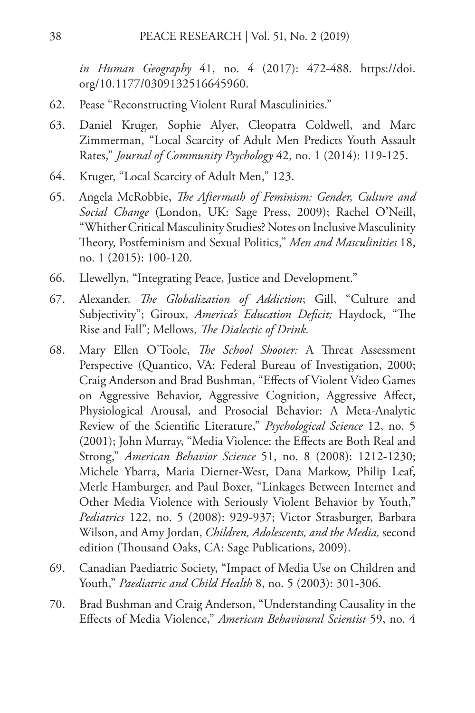*in Human Geography* 41, no. 4 (2017): 472-488. https://doi. org/10.1177/0309132516645960.

- 62. Pease "Reconstructing Violent Rural Masculinities."
- 63. Daniel Kruger, Sophie Alyer, Cleopatra Coldwell, and Marc Zimmerman, "Local Scarcity of Adult Men Predicts Youth Assault Rates," *Journal of Community Psychology* 42, no. 1 (2014): 119-125.
- 64. Kruger, "Local Scarcity of Adult Men," 123.
- 65. Angela McRobbie, *The Aftermath of Feminism: Gender, Culture and Social Change* (London, UK: Sage Press, 2009); Rachel O'Neill, "Whither Critical Masculinity Studies? Notes on Inclusive Masculinity Theory, Postfeminism and Sexual Politics," *Men and Masculinities* 18, no. 1 (2015): 100-120.
- 66. Llewellyn, "Integrating Peace, Justice and Development."
- 67. Alexander, *The Globalization of Addiction*; Gill, "Culture and Subjectivity"; Giroux, *America's Education Deficit;* Haydock, "The Rise and Fall"; Mellows, *The Dialectic of Drink.*
- 68. Mary Ellen O'Toole, *The School Shooter:* A Threat Assessment Perspective (Quantico, VA: Federal Bureau of Investigation, 2000; Craig Anderson and Brad Bushman, "Effects of Violent Video Games on Aggressive Behavior, Aggressive Cognition, Aggressive Affect, Physiological Arousal, and Prosocial Behavior: A Meta-Analytic Review of the Scientific Literature," *Psychological Science* 12, no. 5 (2001); John Murray, "Media Violence: the Effects are Both Real and Strong," *American Behavior Science* 51, no. 8 (2008): 1212-1230; Michele Ybarra, Maria Dierner-West, Dana Markow, Philip Leaf, Merle Hamburger, and Paul Boxer, "Linkages Between Internet and Other Media Violence with Seriously Violent Behavior by Youth," *Pediatrics* 122, no. 5 (2008): 929-937; Victor Strasburger, Barbara Wilson, and Amy Jordan, *Children, Adolescents, and the Media,* second edition (Thousand Oaks, CA: Sage Publications, 2009).
- 69. Canadian Paediatric Society, "Impact of Media Use on Children and Youth," *Paediatric and Child Health* 8, no. 5 (2003): 301-306.
- 70. Brad Bushman and Craig Anderson, "Understanding Causality in the Effects of Media Violence," *American Behavioural Scientist* 59, no. 4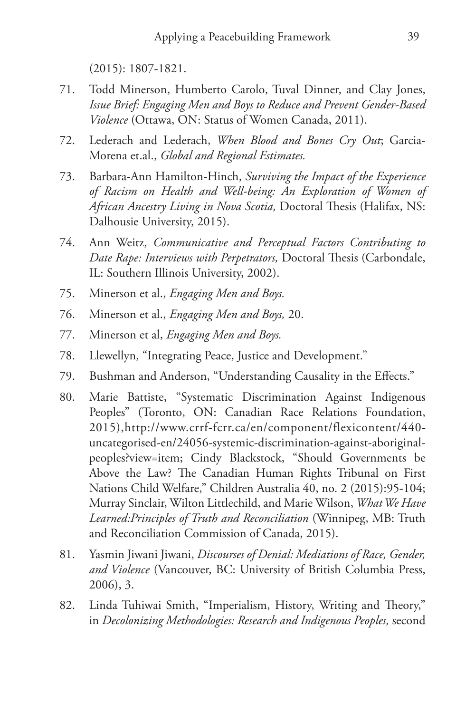(2015): 1807-1821.

- 71. Todd Minerson, Humberto Carolo, Tuval Dinner, and Clay Jones, *Issue Brief: Engaging Men and Boys to Reduce and Prevent Gender-Based Violence* (Ottawa, ON: Status of Women Canada, 2011).
- 72. Lederach and Lederach, *When Blood and Bones Cry Out*; Garcia-Morena et.al., *Global and Regional Estimates.*
- 73. Barbara-Ann Hamilton-Hinch, *Surviving the Impact of the Experience of Racism on Health and Well-being: An Exploration of Women of African Ancestry Living in Nova Scotia,* Doctoral Thesis (Halifax, NS: Dalhousie University, 2015).
- 74. Ann Weitz, *Communicative and Perceptual Factors Contributing to Date Rape: Interviews with Perpetrators,* Doctoral Thesis (Carbondale, IL: Southern Illinois University, 2002).
- 75. Minerson et al., *Engaging Men and Boys.*
- 76. Minerson et al., *Engaging Men and Boys,* 20.
- 77. Minerson et al, *Engaging Men and Boys.*
- 78. Llewellyn, "Integrating Peace, Justice and Development."
- 79. Bushman and Anderson, "Understanding Causality in the Effects."
- 80. Marie Battiste, "Systematic Discrimination Against Indigenous Peoples" (Toronto, ON: Canadian Race Relations Foundation, 2015),http://www.crrf-fcrr.ca/en/component/flexicontent/440 uncategorised-en/24056-systemic-discrimination-against-aboriginalpeoples?view=item; Cindy Blackstock, "Should Governments be Above the Law? The Canadian Human Rights Tribunal on First Nations Child Welfare," Children Australia 40, no. 2 (2015):95-104; Murray Sinclair, Wilton Littlechild, and Marie Wilson, *What We Have Learned:Principles of Truth and Reconciliation* (Winnipeg, MB: Truth and Reconciliation Commission of Canada, 2015).
- 81. Yasmin Jiwani Jiwani, *Discourses of Denial: Mediations of Race, Gender, and Violence* (Vancouver, BC: University of British Columbia Press, 2006), 3.
- 82. Linda Tuhiwai Smith, "Imperialism, History, Writing and Theory," in *Decolonizing Methodologies: Research and Indigenous Peoples,* second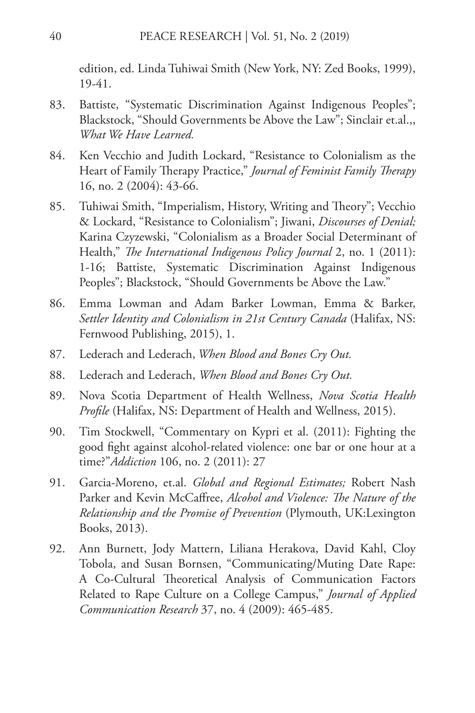edition, ed. Linda Tuhiwai Smith (New York, NY: Zed Books, 1999), 19-41.

- 83. Battiste, "Systematic Discrimination Against Indigenous Peoples"; Blackstock, "Should Governments be Above the Law"; Sinclair et.al.,, *What We Have Learned.*
- 84. Ken Vecchio and Judith Lockard, "Resistance to Colonialism as the Heart of Family Therapy Practice," *Journal of Feminist Family Therapy*  16, no. 2 (2004): 43-66.
- 85. Tuhiwai Smith, "Imperialism, History, Writing and Theory"; Vecchio & Lockard, "Resistance to Colonialism"; Jiwani, *Discourses of Denial;*  Karina Czyzewski, "Colonialism as a Broader Social Determinant of Health," *The International Indigenous Policy Journal* 2, no. 1 (2011): 1-16; Battiste, Systematic Discrimination Against Indigenous Peoples"; Blackstock, "Should Governments be Above the Law."
- 86. Emma Lowman and Adam Barker Lowman, Emma & Barker, *Settler Identity and Colonialism in 21st Century Canada* (Halifax, NS: Fernwood Publishing, 2015), 1.
- 87. Lederach and Lederach, *When Blood and Bones Cry Out.*
- 88. Lederach and Lederach, *When Blood and Bones Cry Out.*
- 89. Nova Scotia Department of Health Wellness, *Nova Scotia Health Profile* (Halifax, NS: Department of Health and Wellness, 2015).
- 90. Tim Stockwell, "Commentary on Kypri et al. (2011): Fighting the good fight against alcohol-related violence: one bar or one hour at a time?"*Addiction* 106, no. 2 (2011): 27
- 91. Garcia-Moreno, et.al. *Global and Regional Estimates;* Robert Nash Parker and Kevin McCaffree, *Alcohol and Violence: The Nature of the Relationship and the Promise of Prevention* (Plymouth, UK:Lexington Books, 2013).
- 92. Ann Burnett, Jody Mattern, Liliana Herakova, David Kahl, Cloy Tobola, and Susan Bornsen, "Communicating/Muting Date Rape: A Co-Cultural Theoretical Analysis of Communication Factors Related to Rape Culture on a College Campus," *Journal of Applied Communication Research* 37, no. 4 (2009): 465-485.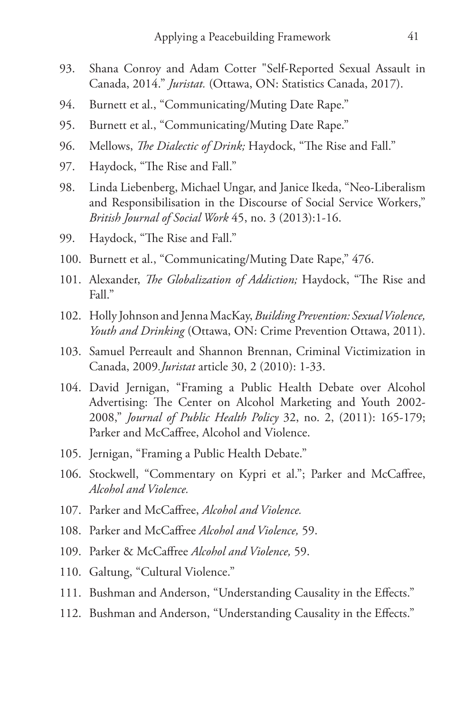- 93. Shana Conroy and Adam Cotter "Self-Reported Sexual Assault in Canada, 2014." *Juristat.* (Ottawa, ON: Statistics Canada, 2017).
- 94. Burnett et al., "Communicating/Muting Date Rape."
- 95. Burnett et al., "Communicating/Muting Date Rape."
- 96. Mellows, *The Dialectic of Drink;* Haydock, "The Rise and Fall."
- 97. Haydock, "The Rise and Fall."
- 98. Linda Liebenberg, Michael Ungar, and Janice Ikeda, "Neo-Liberalism and Responsibilisation in the Discourse of Social Service Workers," *British Journal of Social Work* 45, no. 3 (2013):1-16.
- 99. Haydock, "The Rise and Fall."
- 100. Burnett et al., "Communicating/Muting Date Rape," 476.
- 101. Alexander, *The Globalization of Addiction;* Haydock, "The Rise and Fall."
- 102. Holly Johnson and Jenna MacKay, *Building Prevention: Sexual Violence, Youth and Drinking* (Ottawa, ON: Crime Prevention Ottawa, 2011).
- 103. Samuel Perreault and Shannon Brennan, Criminal Victimization in Canada, 2009*.Juristat* article 30, 2 (2010): 1-33.
- 104. David Jernigan, "Framing a Public Health Debate over Alcohol Advertising: The Center on Alcohol Marketing and Youth 2002- 2008," *Journal of Public Health Policy* 32, no. 2, (2011): 165-179; Parker and McCaffree, Alcohol and Violence.
- 105. Jernigan, "Framing a Public Health Debate."
- 106. Stockwell, "Commentary on Kypri et al."; Parker and McCaffree, *Alcohol and Violence.*
- 107. Parker and McCaffree, *Alcohol and Violence.*
- 108. Parker and McCaffree *Alcohol and Violence,* 59.
- 109. Parker & McCaffree *Alcohol and Violence,* 59.
- 110. Galtung, "Cultural Violence."
- 111. Bushman and Anderson, "Understanding Causality in the Effects."
- 112. Bushman and Anderson, "Understanding Causality in the Effects."